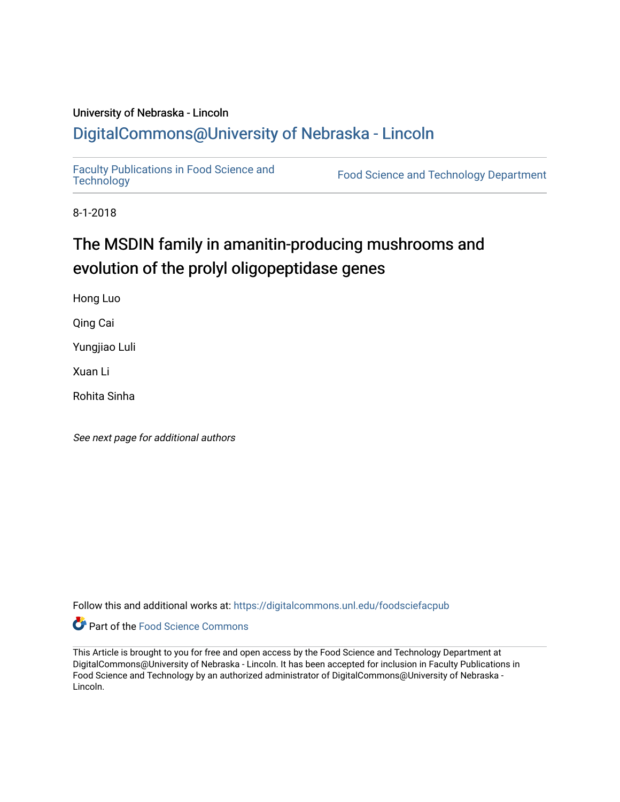### University of Nebraska - Lincoln [DigitalCommons@University of Nebraska - Lincoln](https://digitalcommons.unl.edu/)

[Faculty Publications in Food Science and](https://digitalcommons.unl.edu/foodsciefacpub)

Food Science and [Technology](https://digitalcommons.unl.edu/foodsciefacpub) Department

8-1-2018

## The MSDIN family in amanitin-producing mushrooms and evolution of the prolyl oligopeptidase genes

Hong Luo

Qing Cai

Yungjiao Luli

Xuan Li

Rohita Sinha

See next page for additional authors

Follow this and additional works at: [https://digitalcommons.unl.edu/foodsciefacpub](https://digitalcommons.unl.edu/foodsciefacpub?utm_source=digitalcommons.unl.edu%2Ffoodsciefacpub%2F323&utm_medium=PDF&utm_campaign=PDFCoverPages) 



This Article is brought to you for free and open access by the Food Science and Technology Department at DigitalCommons@University of Nebraska - Lincoln. It has been accepted for inclusion in Faculty Publications in Food Science and Technology by an authorized administrator of DigitalCommons@University of Nebraska -Lincoln.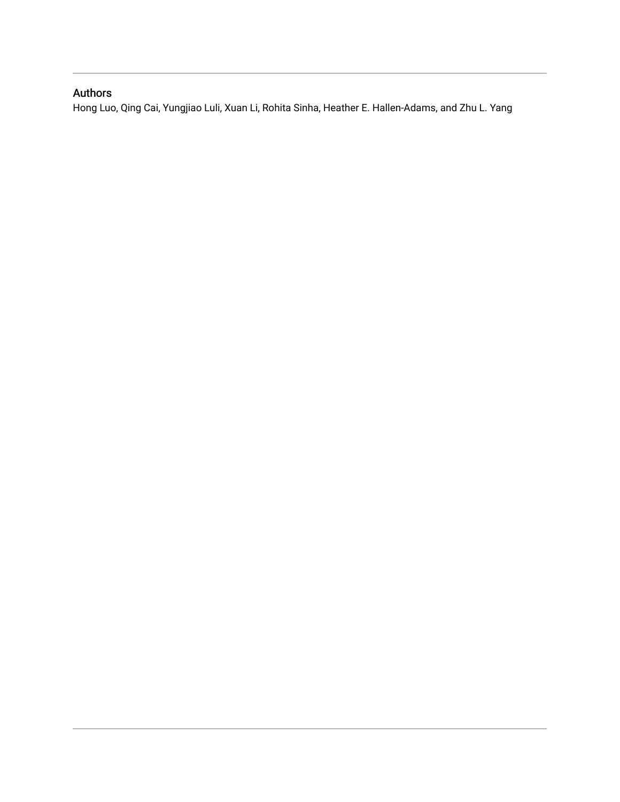#### Authors

Hong Luo, Qing Cai, Yungjiao Luli, Xuan Li, Rohita Sinha, Heather E. Hallen-Adams, and Zhu L. Yang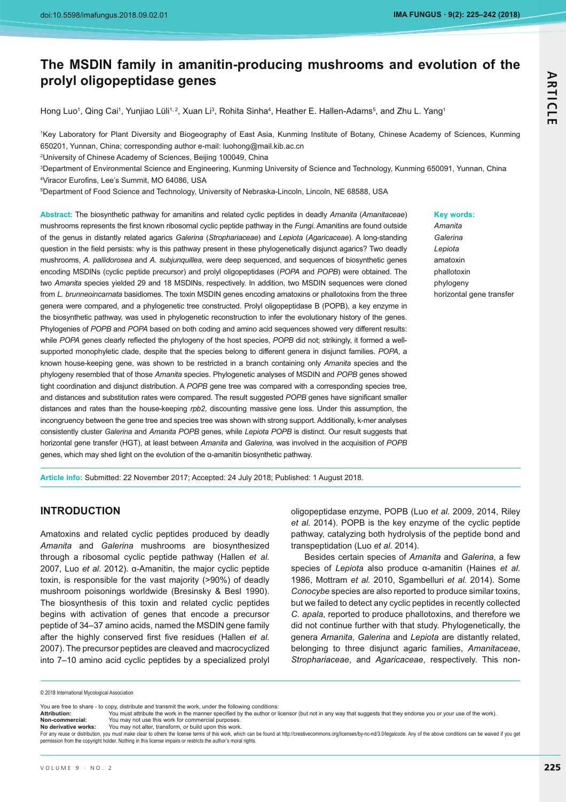**prolyl oligopeptidase genes**

# **ARTICLE ARTICLE**

Hong Luo1, Qing Cai1, Yunjiao Lüli<sup>1, 2</sup>, Xuan Li<sup>3</sup>, Rohita Sinha<sup>4</sup>, Heather E. Hallen-Adams<sup>5</sup>, and Zhu L. Yang1

1 Key Laboratory for Plant Diversity and Biogeography of East Asia, Kunming Institute of Botany, Chinese Academy of Sciences, Kunming 650201, Yunnan, China; corresponding author e-mail: luohong@mail.kib.ac.cn

**The MSDIN family in amanitin-producing mushrooms and evolution of the** 

<sup>2</sup>University of Chinese Academy of Sciences, Beijing 100049, China

<sup>3</sup>Department of Environmental Science and Engineering, Kunming University of Science and Technology, Kunming 650091, Yunnan, China <sup>4</sup>Viracor Eurofins, Lee's Summit, MO 64086, USA

 $^5$ Department of Food Science and Technology, University of Nebraska-Lincoln, Lincoln, NE 68588, USA

**Abstract:** The biosynthetic pathway for amanitins and related cyclic peptides in deadly *Amanita* (*Amanitaceae*) mushrooms represents the first known ribosomal cyclic peptide pathway in the Fungi. Amanitins are found outside of the genus in distantly related agarics Galerina (Strophariaceae) and Lepiota (Agaricaceae). A long-standing question in the field persists: why is this pathway present in these phylogenetically disjunct agarics? Two deadly mushrooms, *A. pallidorosea* and *A. subjunquillea*, were deep sequenced, and sequences of biosynthetic genes encoding MSDINs (cyclic peptide precursor) and prolyl oligopeptidases (*POPA* and *POPB*) were obtained. The two Amanita species yielded 29 and 18 MSDINs, respectively. In addition, two MSDIN sequences were cloned from *L. brunneoincarnata* basidiomes. The toxin MSDIN genes encoding amatoxins or phallotoxins from the three genera were compared, and a phylogenetic tree constructed. Prolyl oligopeptidase B (POPB), a key enzyme in the biosynthetic pathway, was used in phylogenetic reconstruction to infer the evolutionary history of the genes. Phylogenies of POPB and POPA based on both coding and amino acid sequences showed very different results: while POPA genes clearly reflected the phylogeny of the host species, POPB did not; strikingly, it formed a wellsupported monophyletic clade, despite that the species belong to different genera in disjunct families. POPA, a known house-keeping gene, was shown to be restricted in a branch containing only Amanita species and the phylogeny resembled that of those *Amanita* species. Phylogenetic analyses of MSDIN and *POPB* genes showed tight coordination and disjunct distribution. A POPB gene tree was compared with a corresponding species tree, and distances and substitution rates were compared. The result suggested POPB genes have significant smaller distances and rates than the house-keeping rpb2, discounting massive gene loss. Under this assumption, the incongruency between the gene tree and species tree was shown with strong support. Additionally, k-mer analyses consistently cluster *Galerina* and *Amanita POPB* genes, while *Lepiota POPB* is distinct. Our result suggests that horizontal gene transfer (HGT), at least between *Amanita* and *Galerina,* was involved in the acquisition of *POPB* genes, which may shed light on the evolution of the  $\alpha$ -amanitin biosynthetic pathway.

**Key words:**  *Amanita Galerina Lepiota* amatoxin phallotoxin phylogeny horizontal gene transfer

Article info: Submitted: 22 November 2017; Accepted: 24 July 2018; Published: 1 August 2018.

#### **INTRODUCTION**

Amatoxins and related cyclic peptides produced by deadly *Amanita* and *Galerina* mushrooms are biosynthesized through a ribosomal cyclic peptide pathway (Hallen *et al.* 2007, Luo *et al.* 2012). α-Amanitin, the major cyclic peptide toxin, is responsible for the vast majority (>90%) of deadly mushroom poisonings worldwide (Bresinsky & Besl 1990). The biosynthesis of this toxin and related cyclic peptides begins with activation of genes that encode a precursor peptide of 34–37 amino acids, named the MSDIN gene family after the highly conserved first five residues (Hallen et al. 2007). The precursor peptides are cleaved and macrocyclized into 7–10 amino acid cyclic peptides by a specialized prolyl

oligopeptidase enzyme, POPB (Luo et al. 2009, 2014, Riley *et al.* 2014). POPB is the key enzyme of the cyclic peptide pathway, catalyzing both hydrolysis of the peptide bond and transpeptidation (Luo *et al.* 2014).

Besides certain species of *Amanita* and *Galerina*, a few species of *Lepiota* also produce α-amanitin (Haines et al. 1986, Mottram et al. 2010, Sgambelluri et al. 2014). Some *Conocybe* species are also reported to produce similar toxins, but we failed to detect any cyclic peptides in recently collected *C. apala*, reported to produce phallotoxins, and therefore we did not continue further with that study. Phylogenetically, the genera *Amanita*, *Galerina* and *Lepiota* are distantly related, belonging to three disjunct agaric families, Amanitaceae, Strophariaceae, and Agaricaceae, respectively. This non-

**Non-commercial:**-You may not use this work for commercial purposes.

<sup>© 2018</sup> International Mycological Association

You are free to share - to copy, distribute and transmit the work, under the following conditions:

**Attribution:**-You must attribute the work in the manner specified by the author or licensor (but not in any way that suggests that they endorse you or your use of the work).

Non-commercial:<br>No derivative works: You may not alter, transform, or build upon this work. -<br>For any reuse or distribution, you must make clear to others the license terms of this work, which can be found at http://creativecommons.org/licenses/by-nc-nd/3.0/legalcode. Any of the above conditions can be waived if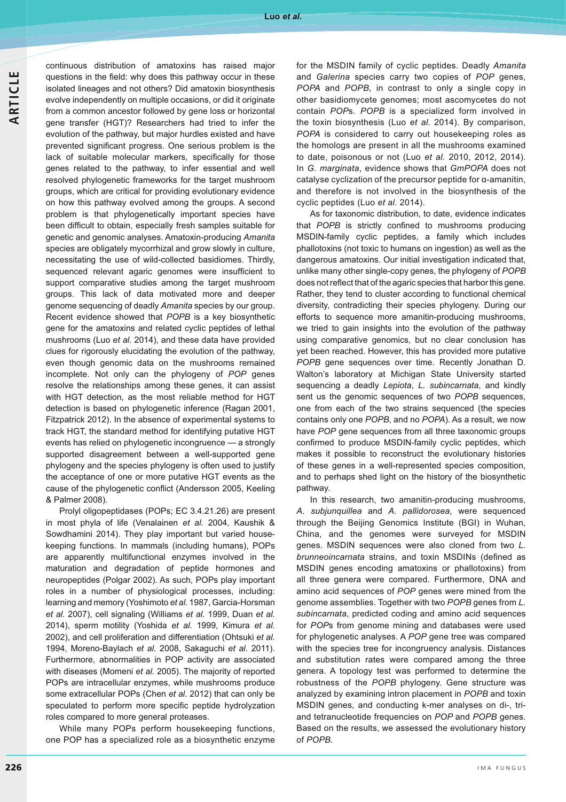continuous distribution of amatoxins has raised major questions in the field: why does this pathway occur in these isolated lineages and not others? Did amatoxin biosynthesis evolve independently on multiple occasions, or did it originate from a common ancestor followed by gene loss or horizontal gene transfer (HGT)? Researchers had tried to infer the evolution of the pathway, but major hurdles existed and have prevented significant progress. One serious problem is the lack of suitable molecular markers, specifically for those genes related to the pathway, to infer essential and well resolved phylogenetic frameworks for the target mushroom groups, which are critical for providing evolutionary evidence on how this pathway evolved among the groups. A second problem is that phylogenetically important species have been difficult to obtain, especially fresh samples suitable for genetic and genomic analyses. Amatoxin-producing Amanita species are obligately mycorrhizal and grow slowly in culture, necessitating the use of wild-collected basidiomes. Thirdly, sequenced relevant agaric genomes were insufficient to support comparative studies among the target mushroom groups. This lack of data motivated more and deeper genome sequencing of deadly *Amanita* species by our group. Recent evidence showed that POPB is a key biosynthetic gene for the amatoxins and related cyclic peptides of lethal mushrooms (Luo *et al.* 2014), and these data have provided clues for rigorously elucidating the evolution of the pathway, even though genomic data on the mushrooms remained incomplete. Not only can the phylogeny of *POP* genes resolve the relationships among these genes, it can assist with HGT detection, as the most reliable method for HGT detection is based on phylogenetic inference (Ragan 2001, Fitzpatrick 2012). In the absence of experimental systems to track HGT, the standard method for identifying putative HGT events has relied on phylogenetic incongruence — a strongly supported disagreement between a well-supported gene phylogeny and the species phylogeny is often used to justify the acceptance of one or more putative HGT events as the cause of the phylogenetic conflict (Andersson 2005, Keeling & Palmer 2008).

Prolyl oligopeptidases (POPs; EC 3.4.21.26) are present in most phyla of life (Venalainen *et al.* 2004, Kaushik & Sowdhamini 2014). They play important but varied housekeeping functions. In mammals (including humans), POPs are apparently multifunctional enzymes involved in the maturation and degradation of peptide hormones and neuropeptides (Polgar 2002). As such, POPs play important roles in a number of physiological processes, including: learning and memory (Yoshimoto *et al.* 1987, Garcia-Horsman et al. 2007), cell signaling (Williams et al. 1999, Duan et al. 2014), sperm motility (Yoshida et al. 1999, Kimura et al. 2002), and cell proliferation and differentiation (Ohtsuki *et al.* 1994, Moreno-Baylach et al. 2008, Sakaguchi et al. 2011). Furthermore, abnormalities in POP activity are associated with diseases (Momeni et al. 2005). The majority of reported POPs are intracellular enzymes, while mushrooms produce some extracellular POPs (Chen *et al.* 2012) that can only be speculated to perform more specific peptide hydrolyzation roles compared to more general proteases.

While many POPs perform housekeeping functions, one POP has a specialized role as a biosynthetic enzyme for the MSDIN family of cyclic peptides. Deadly *Amanita* and *Galerina* species carry two copies of *POP* genes, *POPA* and *POPB*, in contrast to only a single copy in other basidiomycete genomes; most ascomycetes do not contain *POP*s. *POPB* is a specialized form involved in the toxin biosynthesis (Luo *et al.* 2014). By comparison, *POPA* is considered to carry out housekeeping roles as the homologs are present in all the mushrooms examined to date, poisonous or not (Luo *et al.* 2010, 2012, 2014). In *G. marginata*, evidence shows that *GmPOPA* does not  $c$ atalyse cyclization of the precursor peptide for  $\alpha$ -amanitin, and therefore is not involved in the biosynthesis of the cyclic peptides (Luo *et al.* 2014).

As for taxonomic distribution, to date, evidence indicates that POPB is strictly confined to mushrooms producing MSDIN-family cyclic peptides, a family which includes phallotoxins (not toxic to humans on ingestion) as well as the dangerous amatoxins. Our initial investigation indicated that, unlike many other single-copy genes, the phylogeny of POPB does not reflect that of the agaric species that harbor this gene. Rather, they tend to cluster according to functional chemical diversity, contradicting their species phylogeny. During our efforts to sequence more amanitin-producing mushrooms, we tried to gain insights into the evolution of the pathway using comparative genomics, but no clear conclusion has yet been reached. However, this has provided more putative POPB gene sequences over time. Recently Jonathan D. Walton's laboratory at Michigan State University started sequencing a deadly *Lepiota*, *L. subincarnata*, and kindly sent us the genomic sequences of two *POPB* sequences, one from each of the two strains sequenced (the species contains only one *POPB*, and no *POPA*). As a result, we now have *POP* gene sequences from all three taxonomic groups confirmed to produce MSDIN-family cyclic peptides, which makes it possible to reconstruct the evolutionary histories of these genes in a well-represented species composition, and to perhaps shed light on the history of the biosynthetic pathway.

In this research, two amanitin-producing mushrooms, *A. subjunquillea* and *A. pallidorosea*, were sequenced through the Beijing Genomics Institute (BGI) in Wuhan, China, and the genomes were surveyed for MSDIN genes. MSDIN sequences were also cloned from two *L.*  brunneoincarnata strains, and toxin MSDINs (defined as MSDIN genes encoding amatoxins or phallotoxins) from all three genera were compared. Furthermore, DNA and amino acid sequences of *POP* genes were mined from the genome assemblies. Together with two *POPB* genes from *L. subincarnata*, predicted coding and amino acid sequences for *POP*s from genome mining and databases were used for phylogenetic analyses. A *POP* gene tree was compared with the species tree for incongruency analysis. Distances and substitution rates were compared among the three genera. A topology test was performed to determine the robustness of the *POPB* phylogeny. Gene structure was analyzed by examining intron placement in *POPB* and toxin MSDIN genes, and conducting k-mer analyses on di-, triand tetranucleotide frequencies on *POP* and *POPB* genes. Based on the results, we assessed the evolutionary history of *POPB*.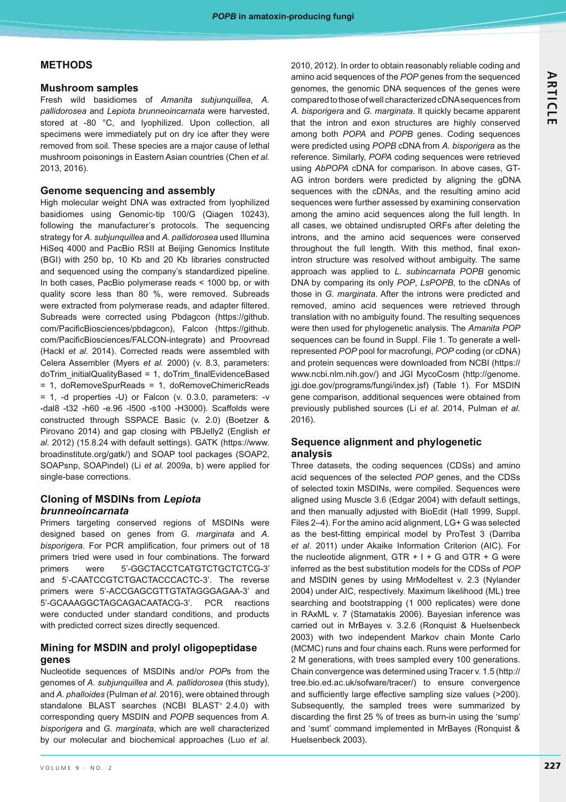#### **METHODS**

#### **Mushroom samples**

Fresh wild basidiomes of *Amanita subjunquillea*, *A. pallidorosea* and *Lepiota brunneoincarnata* were harvested, stored at -80 °C, and lyophilized. Upon collection, all specimens were immediately put on dry ice after they were removed from soil. These species are a major cause of lethal mushroom poisonings in Eastern Asian countries (Chen *et al.* 2013, 2016).

#### **Genome sequencing and assembly**

High molecular weight DNA was extracted from lyophilized basidiomes using Genomic-tip 100/G (Qiagen 10243), following the manufacturer's protocols. The sequencing strategy for *A. subjunquillea* and *A. pallidorosea* used Illumina HiSeq 4000 and PacBio RSII at Beijing Genomics Institute (BGI) with 250 bp, 10 Kb and 20 Kb libraries constructed and sequenced using the company's standardized pipeline. In both cases, PacBio polymerase reads < 1000 bp, or with quality score less than 80 %, were removed. Subreads were extracted from polymerase reads, and adapter filtered. Subreads were corrected using Pbdagcon (https://github. com/PacificBiosciences/pbdagcon), Falcon (https://github. com/PacificBiosciences/FALCON-integrate) and Proovread (Hackl *et al.* 2014). Corrected reads were assembled with Celera Assembler (Myers et al. 2000) (v. 8.3, parameters: doTrim\_initialQualityBased = 1, doTrim\_finalEvidenceBased = 1, doRemoveSpurReads = 1, doRemoveChimericReads = 1, -d properties -U) or Falcon (v. 0.3.0, parameters: -v -dal8 -t32 -h60 -e.96 -l500 -s100 -H3000). Scaffolds were constructed through SSPACE Basic (v. 2.0) (Boetzer & Pirovano 2014) and gap closing with PBJelly2 (English et al. 2012) (15.8.24 with default settings). GATK (https://www. broadinstitute.org/gatk/) and SOAP tool packages (SOAP2, SOAPsnp, SOAPindel) (Li et al. 2009a, b) were applied for single-base corrections.

#### **Cloning of MSDINs from** *Lepiota brunneoincarnata*

Primers targeting conserved regions of MSDINs were designed based on genes from *G. marginata* and *A.*  bisporigera. For PCR amplification, four primers out of 18 primers tried were used in four combinations. The forward primers were 5'-GGCTACCTCATGTCTGCTCTCG-3' and 5'-CAATCCGTCTGACTACCCACTC-3'. The reverse primers were 5'-ACCGAGCGTTGTATAGGGAGAA-3' and 5'-GCAAAGGCTAGCAGACAATACG-3'. PCR reactions were conducted under standard conditions, and products with predicted correct sizes directly sequenced.

#### **Mining for MSDIN and prolyl oligopeptidase genes**

Nucleotide sequences of MSDINs and/or POPs from the genomes of *A. subjunquillea* and *A. pallidorosea* (this study), and *A. phalloides* (Pulman *et al.* 2016), were obtained through standalone BLAST searches (NCBI BLAST<sup>+</sup> 2.4.0) with corresponding query MSDIN and *POPB* sequences from *A. bisporigera* and *G. marginata*, which are well characterized by our molecular and biochemical approaches (Luo *et al.*

2010, 2012). In order to obtain reasonably reliable coding and amino acid sequences of the *POP* genes from the sequenced genomes, the genomic DNA sequences of the genes were compared to those of well characterized cDNA sequences from *A. bisporigera* and *G. marginata*. It quickly became apparent that the intron and exon structures are highly conserved among both *POPA* and *POPB* genes. Coding sequences were predicted using *POPB* cDNA from *A. bisporigera* as the reference. Similarly, *POPA* coding sequences were retrieved using AbPOPA cDNA for comparison. In above cases, GT-AG intron borders were predicted by aligning the gDNA sequences with the cDNAs, and the resulting amino acid sequences were further assessed by examining conservation among the amino acid sequences along the full length. In all cases, we obtained undisrupted ORFs after deleting the introns, and the amino acid sequences were conserved throughout the full length. With this method, final exonintron structure was resolved without ambiguity. The same approach was applied to *L. subincarnata POPB* genomic DNA by comparing its only *POP*, *LsPOPB*, to the cDNAs of those in *G. marginata*. After the introns were predicted and removed, amino acid sequences were retrieved through translation with no ambiguity found. The resulting sequences were then used for phylogenetic analysis. The *Amanita POP* sequences can be found in Suppl. File 1. To generate a wellrepresented *POP* pool for macrofungi, *POP* coding (or cDNA) and protein sequences were downloaded from NCBI (https:// www.ncbi.nlm.nih.gov/) and JGI MycoCosm (http://genome. jgi.doe.gov/programs/fungi/index.jsf) (Table 1). For MSDIN gene comparison, additional sequences were obtained from previously published sources (Li *et al.* 2014, Pulman *et al.* 2016).

#### **Sequence alignment and phylogenetic analysis**

Three datasets, the coding sequences (CDSs) and amino acid sequences of the selected *POP* genes, and the CDSs of selected toxin MSDINs, were compiled. Sequences were aligned using Muscle 3.6 (Edgar 2004) with default settings, and then manually adjusted with BioEdit (Hall 1999, Suppl. Files 2–4). For the amino acid alignment, LG+ G was selected as the best-fitting empirical model by ProTest 3 (Darriba *et al*. 2011) under Akaike Information Criterion (AIC). For the nucleotide alignment,  $GTR + I + G$  and  $GTR + G$  were inferred as the best substitution models for the CDSs of *POP* and MSDIN genes by using MrModeltest v. 2.3 (Nylander 2004) under AIC, respectively. Maximum likelihood (ML) tree searching and bootstrapping (1 000 replicates) were done in RAxML v. 7 (Stamatakis 2006). Bayesian inference was carried out in MrBayes v. 3.2.6 (Ronquist & Huelsenbeck 2003) with two independent Markov chain Monte Carlo (MCMC) runs and four chains each. Runs were performed for 2 M generations, with trees sampled every 100 generations. Chain convergence was determined using Tracer v. 1.5 (http:// tree.bio.ed.ac.uk/sofware/tracer/) to ensure convergence and sufficiently large effective sampling size values (>200). Subsequently, the sampled trees were summarized by discarding the first 25 % of trees as burn-in using the 'sump' and 'sumt' command implemented in MrBayes (Ronquist & Huelsenbeck 2003).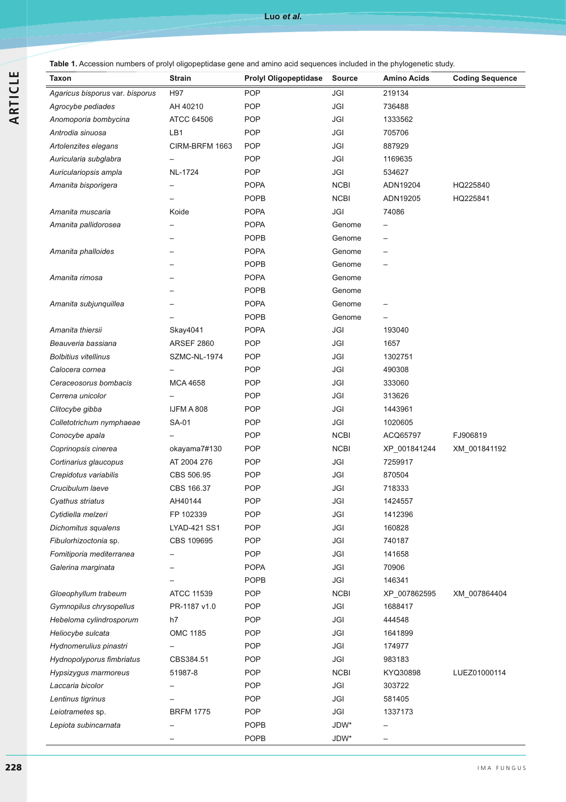**Table 1.** Accession numbers of prolyl oligopeptidase gene and amino acid sequences included in the phylogenetic study.

| Taxon                           | <b>Strain</b>     | <b>Prolyl Oligopeptidase</b> | <b>Source</b> | <b>Amino Acids</b> | <b>Coding Sequence</b> |
|---------------------------------|-------------------|------------------------------|---------------|--------------------|------------------------|
| Agaricus bisporus var. bisporus | H97               | <b>POP</b>                   | JGI           | 219134             |                        |
| Agrocybe pediades               | AH 40210          | <b>POP</b>                   | JGI           | 736488             |                        |
| Anomoporia bombycina            | <b>ATCC 64506</b> | <b>POP</b>                   | JGI           | 1333562            |                        |
| Antrodia sinuosa                | LB1               | <b>POP</b>                   | JGI           | 705706             |                        |
| Artolenzites elegans            | CIRM-BRFM 1663    | <b>POP</b>                   | JGI           | 887929             |                        |
| Auricularia subglabra           |                   | <b>POP</b>                   | JGI           | 1169635            |                        |
| Auriculariopsis ampla           | <b>NL-1724</b>    | <b>POP</b>                   | JGI           | 534627             |                        |
| Amanita bisporigera             |                   | <b>POPA</b>                  | <b>NCBI</b>   | ADN19204           | HQ225840               |
|                                 |                   | <b>POPB</b>                  | <b>NCBI</b>   | ADN19205           | HQ225841               |
| Amanita muscaria                | Koide             | <b>POPA</b>                  | JGI           | 74086              |                        |
| Amanita pallidorosea            |                   | <b>POPA</b>                  | Genome        |                    |                        |
|                                 |                   | <b>POPB</b>                  | Genome        |                    |                        |
| Amanita phalloides              |                   | <b>POPA</b>                  | Genome        |                    |                        |
|                                 |                   | <b>POPB</b>                  | Genome        |                    |                        |
| Amanita rimosa                  |                   | <b>POPA</b>                  | Genome        |                    |                        |
|                                 |                   | <b>POPB</b>                  | Genome        |                    |                        |
| Amanita subjunquillea           |                   | <b>POPA</b>                  | Genome        |                    |                        |
|                                 |                   | <b>POPB</b>                  | Genome        |                    |                        |
| Amanita thiersii                | Skay4041          | <b>POPA</b>                  | JGI           | 193040             |                        |
| Beauveria bassiana              | <b>ARSEF 2860</b> | <b>POP</b>                   | JGI           | 1657               |                        |
| <b>Bolbitius vitellinus</b>     | SZMC-NL-1974      | <b>POP</b>                   | JGI           | 1302751            |                        |
| Calocera cornea                 |                   | <b>POP</b>                   | JGI           | 490308             |                        |
| Ceraceosorus bombacis           | <b>MCA 4658</b>   | <b>POP</b>                   | JGI           | 333060             |                        |
| Cerrena unicolor                |                   | <b>POP</b>                   | JGI           | 313626             |                        |
| Clitocybe gibba                 | <b>IJFM A 808</b> | <b>POP</b>                   | JGI           | 1443961            |                        |
| Colletotrichum nymphaeae        | <b>SA-01</b>      | <b>POP</b>                   | JGI           | 1020605            |                        |
| Conocybe apala                  | —                 | <b>POP</b>                   | <b>NCBI</b>   | ACQ65797           | FJ906819               |
| Coprinopsis cinerea             | okayama7#130      | <b>POP</b>                   | <b>NCBI</b>   | XP 001841244       | XM_001841192           |
| Cortinarius glaucopus           | AT 2004 276       | <b>POP</b>                   | JGI           | 7259917            |                        |
| Crepidotus variabilis           | CBS 506.95        | <b>POP</b>                   | <b>JGI</b>    | 870504             |                        |
| Crucibulum laeve                | CBS 166.37        | POP                          | <b>JGI</b>    | 718333             |                        |
| Cyathus striatus                | AH40144           | POP                          | JGI           | 1424557            |                        |
| Cytidiella melzeri              | FP 102339         | <b>POP</b>                   | JGI           | 1412396            |                        |
| Dichomitus squalens             | LYAD-421 SS1      | POP                          | JGI           | 160828             |                        |
| Fibulorhizoctonia sp.           | CBS 109695        | POP                          | JGI           | 740187             |                        |
| Fomitiporia mediterranea        |                   | <b>POP</b>                   | JGI           | 141658             |                        |
| Galerina marginata              |                   | <b>POPA</b>                  | JGI           | 70906              |                        |
|                                 |                   | <b>POPB</b>                  | JGI           | 146341             |                        |
| Gloeophyllum trabeum            | <b>ATCC 11539</b> | <b>POP</b>                   | <b>NCBI</b>   | XP_007862595       | XM_007864404           |
| Gymnopilus chrysopellus         | PR-1187 v1.0      | <b>POP</b>                   | JGI           | 1688417            |                        |
| Hebeloma cylindrosporum         | h7                | <b>POP</b>                   | JGI           | 444548             |                        |
| Heliocybe sulcata               | <b>OMC 1185</b>   | <b>POP</b>                   | JGI           | 1641899            |                        |
| Hydnomerulius pinastri          |                   | <b>POP</b>                   | JGI           | 174977             |                        |
| Hydnopolyporus fimbriatus       | CBS384.51         | POP                          | JGI           | 983183             |                        |
| Hypsizygus marmoreus            | 51987-8           | POP                          | <b>NCBI</b>   | KYQ30898           | LUEZ01000114           |
| Laccaria bicolor                |                   | <b>POP</b>                   | JGI           | 303722             |                        |
| Lentinus tigrinus               |                   | POP                          | JGI           | 581405             |                        |
| Leiotrametes sp.                | <b>BRFM 1775</b>  | POP                          | JGI           | 1337173            |                        |
| Lepiota subincarnata            |                   | <b>POPB</b>                  | JDW*          |                    |                        |
|                                 |                   | <b>POPB</b>                  | JDW*          |                    |                        |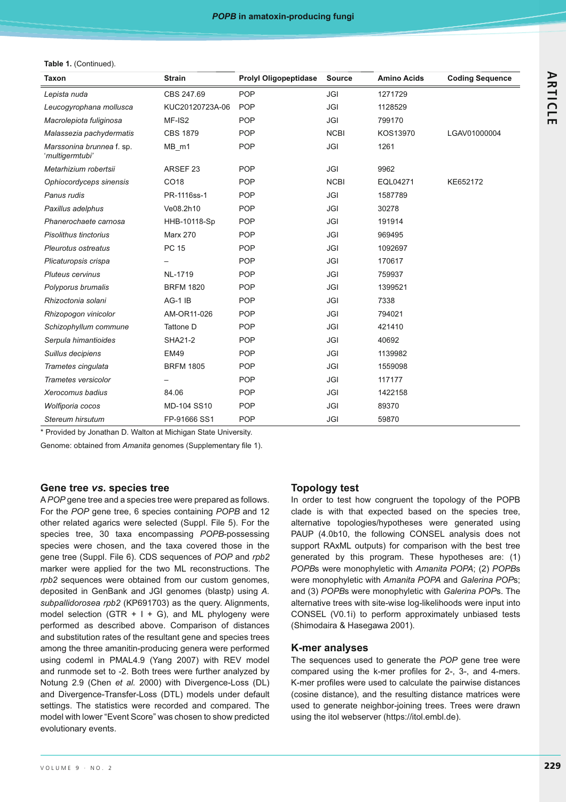| Taxon                                        | <b>Strain</b>       | <b>Prolyl Oligopeptidase</b> | <b>Source</b> | <b>Amino Acids</b> | <b>Coding Sequence</b> |
|----------------------------------------------|---------------------|------------------------------|---------------|--------------------|------------------------|
| Lepista nuda                                 | CBS 247.69          | POP                          | <b>JGI</b>    | 1271729            |                        |
| Leucogyrophana mollusca                      | KUC20120723A-06     | <b>POP</b>                   | JGI           | 1128529            |                        |
| Macrolepiota fuliginosa                      | MF-IS2              | POP                          | <b>JGI</b>    | 799170             |                        |
| Malassezia pachydermatis                     | <b>CBS 1879</b>     | <b>POP</b>                   | <b>NCBI</b>   | KOS13970           | LGAV01000004           |
| Marssonina brunnea f. sp.<br>'multigermtubi' | MB m1               | <b>POP</b>                   | <b>JGI</b>    | 1261               |                        |
| Metarhizium robertsii                        | ARSEF <sub>23</sub> | <b>POP</b>                   | <b>JGI</b>    | 9962               |                        |
| Ophiocordyceps sinensis                      | CO18                | <b>POP</b>                   | <b>NCBI</b>   | EQL04271           | KE652172               |
| Panus rudis                                  | PR-1116ss-1         | <b>POP</b>                   | <b>JGI</b>    | 1587789            |                        |
| Paxillus adelphus                            | Ve08.2h10           | <b>POP</b>                   | <b>JGI</b>    | 30278              |                        |
| Phanerochaete carnosa                        | HHB-10118-Sp        | <b>POP</b>                   | <b>JGI</b>    | 191914             |                        |
| Pisolithus tinctorius                        | <b>Marx 270</b>     | <b>POP</b>                   | JGI           | 969495             |                        |
| Pleurotus ostreatus                          | PC 15               | <b>POP</b>                   | <b>JGI</b>    | 1092697            |                        |
| Plicaturopsis crispa                         |                     | <b>POP</b>                   | <b>JGI</b>    | 170617             |                        |
| Pluteus cervinus                             | <b>NL-1719</b>      | <b>POP</b>                   | <b>JGI</b>    | 759937             |                        |
| Polyporus brumalis                           | <b>BRFM 1820</b>    | <b>POP</b>                   | <b>JGI</b>    | 1399521            |                        |
| Rhizoctonia solani                           | <b>AG-1 IB</b>      | <b>POP</b>                   | <b>JGI</b>    | 7338               |                        |
| Rhizopogon vinicolor                         | AM-OR11-026         | <b>POP</b>                   | <b>JGI</b>    | 794021             |                        |
| Schizophyllum commune                        | Tattone D           | <b>POP</b>                   | <b>JGI</b>    | 421410             |                        |
| Serpula himantioides                         | <b>SHA21-2</b>      | <b>POP</b>                   | <b>JGI</b>    | 40692              |                        |
| Suillus decipiens                            | <b>EM49</b>         | <b>POP</b>                   | <b>JGI</b>    | 1139982            |                        |
| Trametes cingulata                           | <b>BRFM 1805</b>    | <b>POP</b>                   | <b>JGI</b>    | 1559098            |                        |
| Trametes versicolor                          |                     | <b>POP</b>                   | <b>JGI</b>    | 117177             |                        |
| Xerocomus badius                             | 84.06               | <b>POP</b>                   | <b>JGI</b>    | 1422158            |                        |
| Wolfiporia cocos                             | MD-104 SS10         | <b>POP</b>                   | JGI           | 89370              |                        |
| Stereum hirsutum                             | FP-91666 SS1        | <b>POP</b>                   | JGI           | 59870              |                        |

**Table 1.** (Continued).

\* Provided by Jonathan D. Walton at Michigan State University.

Genome: obtained from Amanita genomes (Supplementary file 1).

#### **Gene tree** *vs***. species tree**

A *POP* gene tree and a species tree were prepared as follows. For the POP gene tree, 6 species containing POPB and 12 other related agarics were selected (Suppl. File 5). For the species tree, 30 taxa encompassing *POPB*-possessing species were chosen, and the taxa covered those in the gene tree (Suppl. File 6). CDS sequences of *POP* and *rpb2* marker were applied for the two ML reconstructions. The *rpb2* sequences were obtained from our custom genomes. deposited in GenBank and JGI genomes (blastp) using A. subpallidorosea rpb2 (KP691703) as the query. Alignments, model selection  $(GTR + I + G)$ , and ML phylogeny were performed as described above. Comparison of distances and substitution rates of the resultant gene and species trees among the three amanitin-producing genera were performed using codeml in PMAL4.9 (Yang 2007) with REV model and runmode set to -2. Both trees were further analyzed by Notung 2.9 (Chen et al. 2000) with Divergence-Loss (DL) and Divergence-Transfer-Loss (DTL) models under default settings. The statistics were recorded and compared. The model with lower "Event Score" was chosen to show predicted evolutionary events.

#### **Topology test**

In order to test how congruent the topology of the POPB clade is with that expected based on the species tree, alternative topologies/hypotheses were generated using PAUP (4.0b10, the following CONSEL analysis does not support RAxML outputs) for comparison with the best tree generated by this program. These hypotheses are: (1) *POPB*s were monophyletic with *Amanita POPA*; (2) POPBs were monophyletic with *Amanita POPA* and *Galerina POP*s; and (3) *POPB*s were monophyletic with *Galerina POP*s. The alternative trees with site-wise log-likelihoods were input into CONSEL (V0.1i) to perform approximately unbiased tests (Shimodaira & Hasegawa 2001).

#### **K-mer analyses**

The sequences used to generate the *POP* gene tree were compared using the k-mer profiles for 2-, 3-, and 4-mers. K-mer profiles were used to calculate the pairwise distances (cosine distance), and the resulting distance matrices were used to generate neighbor-joining trees. Trees were drawn using the itol webserver (https://itol.embl.de).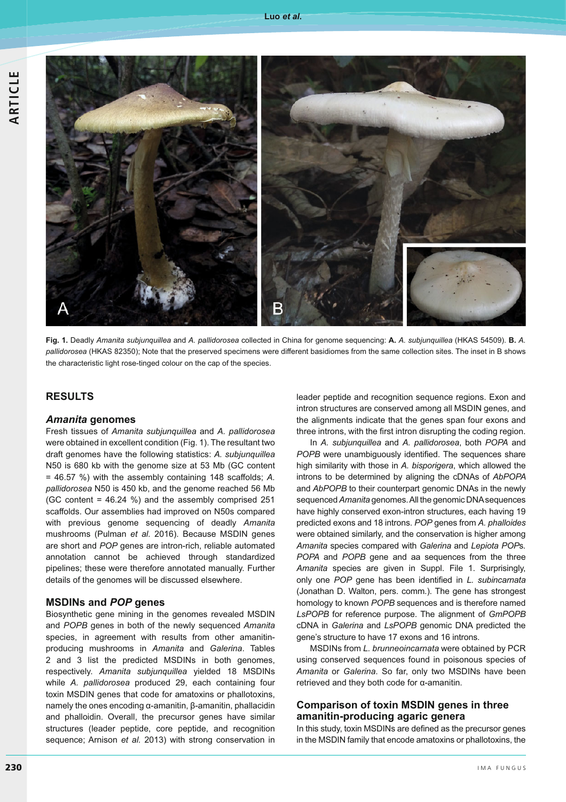

Fig. 1. Deadly Amanita subjunquillea and A. pallidorosea collected in China for genome sequencing: A. A. subjunquillea (HKAS 54509). B. A. pallidorosea (HKAS 82350); Note that the preserved specimens were different basidiomes from the same collection sites. The inset in B shows the characteristic light rose-tinged colour on the cap of the species.

#### **RESULTS**

#### *Amanita* **genomes**

Fresh tissues of *Amanita subjunquillea* and *A. pallidorosea* were obtained in excellent condition (Fig. 1). The resultant two draft genomes have the following statistics: A. subjunquillea N50 is 680 kb with the genome size at 53 Mb (GC content = 46.57 %) with the assembly containing 148 scaffolds; A. pallidorosea N50 is 450 kb, and the genome reached 56 Mb (GC content =  $46.24 \%$ ) and the assembly comprised 251 scaffolds. Our assemblies had improved on N50s compared with previous genome sequencing of deadly *Amanita* mushrooms (Pulman et al. 2016). Because MSDIN genes are short and POP genes are intron-rich, reliable automated annotation cannot be achieved through standardized pipelines; these were therefore annotated manually. Further details of the genomes will be discussed elsewhere.

#### **MSDINs and** *POP* **genes**

Biosynthetic gene mining in the genomes revealed MSDIN and *POPB* genes in both of the newly sequenced *Amanita* species, in agreement with results from other amanitinproducing mushrooms in *Amanita* and *Galerina*. Tables 2 and 3 list the predicted MSDINs in both genomes, respectively. Amanita subjunquillea yielded 18 MSDINs while A. pallidorosea produced 29, each containing four toxin MSDIN genes that code for amatoxins or phallotoxins,  $n$ amely the ones encoding  $\alpha$ -amanitin,  $\beta$ -amanitin, phallacidin and phalloidin. Overall, the precursor genes have similar structures (leader peptide, core peptide, and recognition sequence; Arnison et al. 2013) with strong conservation in leader peptide and recognition sequence regions. Exon and intron structures are conserved among all MSDIN genes, and the alignments indicate that the genes span four exons and three introns, with the first intron disrupting the coding region.

In *A. subjunquillea* and *A. pallidorosea*, both *POPA* and POPB were unambiguously identified. The sequences share high similarity with those in *A. bisporigera*, which allowed the introns to be determined by aligning the cDNAs of *AbPOPA*  and *AbPOPB* to their counterpart genomic DNAs in the newly sequenced *Amanita* genomes. All the genomic DNA sequences have highly conserved exon-intron structures, each having 19 predicted exons and 18 introns. POP genes from A. phalloides were obtained similarly, and the conservation is higher among *Amanita* species compared with *Galerina* and *Lepiota POP*s*. POPA* and *POPB* gene and aa sequences from the three *Amanita* species are given in Suppl. File 1. Surprisingly, only one POP gene has been identified in *L. subincarnata* (Jonathan D. Walton, pers. comm.). The gene has strongest homology to known *POPB* sequences and is therefore named *LsPOPB* for reference purpose. The alignment of *GmPOPB* cDNA in *Galerina* and *LsPOPB* genomic DNA predicted the gene's structure to have 17 exons and 16 introns.

MSDINs from L. brunneoincarnata were obtained by PCR using conserved sequences found in poisonous species of *Amanita* or *Galerina*. So far, only two MSDINs have been retrieved and they both code for  $\alpha$ -amanitin.

#### **Comparison of toxin MSDIN genes in three amanitin-producing agaric genera**

In this study, toxin MSDINs are defined as the precursor genes in the MSDIN family that encode amatoxins or phallotoxins, the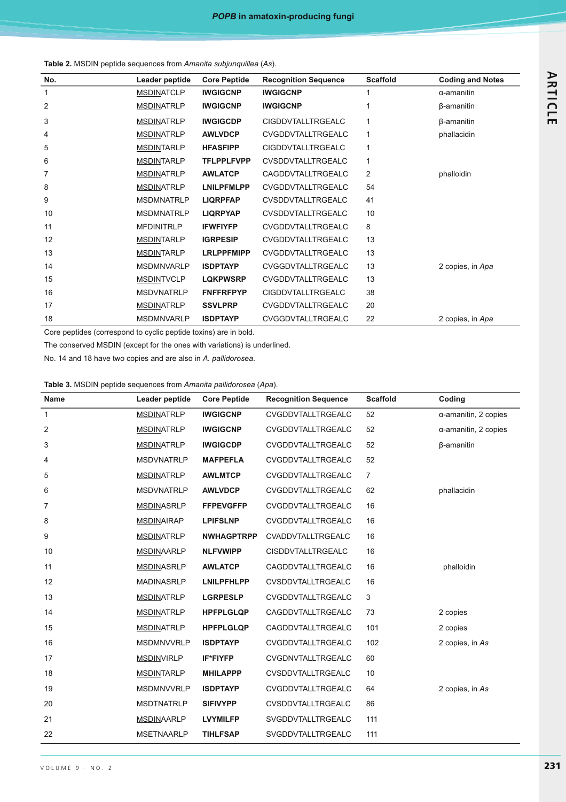| No. | Leader peptide    | <b>Core Peptide</b> | <b>Recognition Sequence</b> | <b>Scaffold</b> | <b>Coding and Notes</b> |
|-----|-------------------|---------------------|-----------------------------|-----------------|-------------------------|
|     | <b>MSDINATCLP</b> | <b>IWGIGCNP</b>     | <b>IWGIGCNP</b>             |                 | $\alpha$ -amanitin      |
| 2   | <b>MSDINATRLP</b> | <b>IWGIGCNP</b>     | <b>IWGIGCNP</b>             |                 | β-amanitin              |
| 3   | <b>MSDINATRLP</b> | <b>IWGIGCDP</b>     | <b>CIGDDVTALLTRGEALC</b>    | 1               | β-amanitin              |
| 4   | <b>MSDINATRLP</b> | <b>AWLVDCP</b>      | <b>CVGDDVTALLTRGEALC</b>    | 1               | phallacidin             |
| 5   | <b>MSDINTARLP</b> | <b>HFASFIPP</b>     | <b>CIGDDVTALLTRGEALC</b>    | 1               |                         |
| 6   | <b>MSDINTARLP</b> | <b>TFLPPLFVPP</b>   | <b>CVSDDVTALLTRGEALC</b>    | 1               |                         |
| 7   | <b>MSDINATRLP</b> | <b>AWLATCP</b>      | CAGDDVTALLTRGEALC           | 2               | phalloidin              |
| 8   | <b>MSDINATRLP</b> | <b>LNILPFMLPP</b>   | <b>CVGDDVTALLTRGEALC</b>    | 54              |                         |
| 9   | <b>MSDMNATRLP</b> | <b>LIQRPFAP</b>     | <b>CVSDDVTALLTRGEALC</b>    | 41              |                         |
| 10  | <b>MSDMNATRLP</b> | <b>LIQRPYAP</b>     | CVSDDVTALLTRGEALC           | 10              |                         |
| 11  | <b>MFDINITRLP</b> | <b>IFWFIYFP</b>     | CVGDDVTALLTRGEALC           | 8               |                         |
| 12  | <b>MSDINTARLP</b> | <b>IGRPESIP</b>     | <b>CVGDDVTALLTRGEALC</b>    | 13              |                         |
| 13  | <b>MSDINTARLP</b> | <b>LRLPPFMIPP</b>   | <b>CVGDDVTALLTRGEALC</b>    | 13              |                         |
| 14  | <b>MSDMNVARLP</b> | <b>ISDPTAYP</b>     | <b>CVGGDVTALLTRGEALC</b>    | 13              | 2 copies, in Apa        |
| 15  | <b>MSDINTVCLP</b> | <b>LQKPWSRP</b>     | CVGDDVTALLTRGEALC           | 13              |                         |
| 16  | <b>MSDVNATRLP</b> | <b>FNFFRFPYP</b>    | <b>CIGDDVTALLTRGEALC</b>    | 38              |                         |
| 17  | <b>MSDINATRLP</b> | <b>SSVLPRP</b>      | CVGDDVTALLTRGEALC           | 20              |                         |
| 18  | <b>MSDMNVARLP</b> | <b>ISDPTAYP</b>     | <b>CVGGDVTALLTRGEALC</b>    | 22              | 2 copies, in Apa        |

**Table 2.** MSDIN peptide sequences from *Amanita subjunquillea* (*As*).

Core peptides (correspond to cyclic peptide toxins) are in bold.

The conserved MSDIN (except for the ones with variations) is underlined.

No. 14 and 18 have two copies and are also in A. pallidorosea.

**Table 3.** MSDIN peptide sequences from *Amanita pallidorosea* (*Apa*).

| Name         | Leader peptide    | <b>Core Peptide</b> | <b>Recognition Sequence</b> | <b>Scaffold</b> | Coding                       |
|--------------|-------------------|---------------------|-----------------------------|-----------------|------------------------------|
| $\mathbf{1}$ | <b>MSDINATRLP</b> | <b>IWGIGCNP</b>     | CVGDDVTALLTRGEALC           | 52              | $\alpha$ -amanitin, 2 copies |
| 2            | <b>MSDINATRLP</b> | <b>IWGIGCNP</b>     | CVGDDVTALLTRGEALC           | 52              | $\alpha$ -amanitin, 2 copies |
| 3            | <b>MSDINATRLP</b> | <b>IWGIGCDP</b>     | CVGDDVTALLTRGEALC           | 52              | β-amanitin                   |
| 4            | <b>MSDVNATRLP</b> | <b>MAFPEFLA</b>     | CVGDDVTALLTRGEALC           | 52              |                              |
| 5            | <b>MSDINATRLP</b> | <b>AWLMTCP</b>      | CVGDDVTALLTRGEALC           | $\overline{7}$  |                              |
| 6            | <b>MSDVNATRLP</b> | <b>AWLVDCP</b>      | CVGDDVTALLTRGEALC           | 62              | phallacidin                  |
| 7            | <b>MSDINASRLP</b> | <b>FFPEVGFFP</b>    | CVGDDVTALLTRGEALC           | 16              |                              |
| 8            | <b>MSDINAIRAP</b> | <b>LPIFSLNP</b>     | CVGDDVTALLTRGEALC           | 16              |                              |
| 9            | <b>MSDINATRLP</b> | <b>NWHAGPTRPP</b>   | CVADDVTALLTRGEALC           | 16              |                              |
| 10           | <b>MSDINAARLP</b> | <b>NLFVWIPP</b>     | <b>CISDDVTALLTRGEALC</b>    | 16              |                              |
| 11           | <b>MSDINASRLP</b> | <b>AWLATCP</b>      | CAGDDVTALLTRGEALC           | 16              | phalloidin                   |
| 12           | <b>MADINASRLP</b> | <b>LNILPFHLPP</b>   | CVSDDVTALLTRGEALC           | 16              |                              |
| 13           | <b>MSDINATRLP</b> | <b>LGRPESLP</b>     | CVGDDVTALLTRGEALC           | 3               |                              |
| 14           | <b>MSDINATRLP</b> | <b>HPFPLGLQP</b>    | CAGDDVTALLTRGEALC           | 73              | 2 copies                     |
| 15           | <b>MSDINATRLP</b> | <b>HPFPLGLQP</b>    | CAGDDVTALLTRGEALC           | 101             | 2 copies                     |
| 16           | <b>MSDMNVVRLP</b> | <b>ISDPTAYP</b>     | CVGDDVTALLTRGEALC           | 102             | 2 copies, in As              |
| 17           | <b>MSDINVIRLP</b> | IF*FIYFP            | CVGDNVTALLTRGEALC           | 60              |                              |
| 18           | <b>MSDINTARLP</b> | <b>MHILAPPP</b>     | CVSDDVTALLTRGEALC           | 10              |                              |
| 19           | <b>MSDMNVVRLP</b> | <b>ISDPTAYP</b>     | CVGDDVTALLTRGEALC           | 64              | 2 copies, in As              |
| 20           | <b>MSDTNATRLP</b> | <b>SIFIVYPP</b>     | CVSDDVTALLTRGEALC           | 86              |                              |
| 21           | <b>MSDINAARLP</b> | <b>LVYMILFP</b>     | SVGDDVTALLTRGEALC           | 111             |                              |
| 22           | <b>MSETNAARLP</b> | <b>TIHLFSAP</b>     | <b>SVGDDVTALLTRGEALC</b>    | 111             |                              |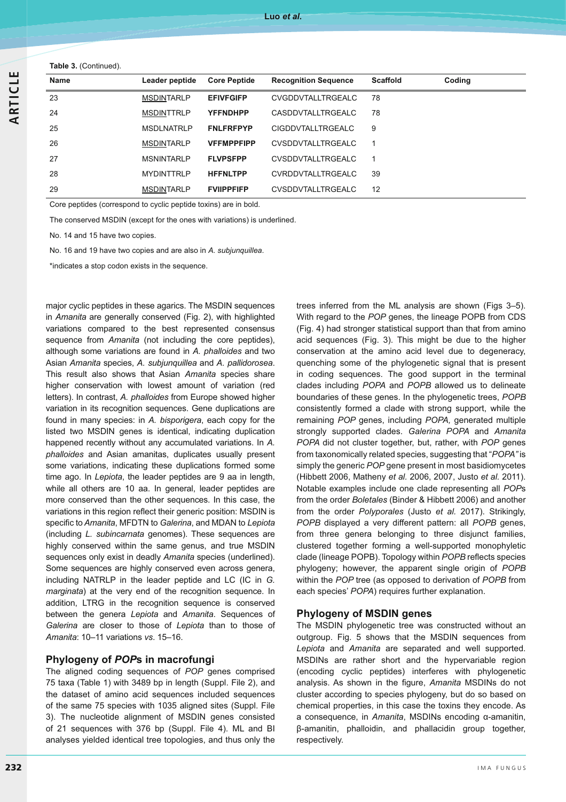| Table 3. (Continued). |  |
|-----------------------|--|

| Name | Leader peptide    | <b>Core Peptide</b> | <b>Recognition Sequence</b> | <b>Scaffold</b> | Coding |
|------|-------------------|---------------------|-----------------------------|-----------------|--------|
| 23   | <b>MSDINTARLP</b> | <b>EFIVFGIFP</b>    | <b>CVGDDVTALLTRGEALC</b>    | 78              |        |
| 24   | <b>MSDINTTRLP</b> | <b>YFFNDHPP</b>     | CASDDVTALLTRGEALC           | 78              |        |
| 25   | <b>MSDLNATRLP</b> | <b>FNLFRFPYP</b>    | <b>CIGDDVTALLTRGEALC</b>    | 9               |        |
| 26   | <b>MSDINTARLP</b> | <b>VFFMPPFIPP</b>   | <b>CVSDDVTALLTRGEALC</b>    |                 |        |
| 27   | <b>MSNINTARLP</b> | <b>FLVPSFPP</b>     | <b>CVSDDVTALLTRGEALC</b>    | $\overline{1}$  |        |
| 28   | <b>MYDINTTRLP</b> | <b>HFFNLTPP</b>     | <b>CVRDDVTALLTRGEALC</b>    | 39              |        |
| 29   | <b>MSDINTARLP</b> | <b>FVIIPPFIFP</b>   | <b>CVSDDVTALLTRGEALC</b>    | 12              |        |
|      |                   |                     |                             |                 |        |

Core peptides (correspond to cyclic peptide toxins) are in bold.

The conserved MSDIN (except for the ones with variations) is underlined.

No. 14 and 15 have two copies.

No. 16 and 19 have two copies and are also in A. subjunquillea.

\*indicates a stop codon exists in the sequence.

major cyclic peptides in these agarics. The MSDIN sequences in *Amanita* are generally conserved (Fig. 2), with highlighted variations compared to the best represented consensus sequence from *Amanita* (not including the core peptides), although some variations are found in *A. phalloides* and two Asian *Amanita* species, *A. subjunquillea* and *A. pallidorosea*. This result also shows that Asian *Amanita* species share higher conservation with lowest amount of variation (red letters). In contrast, *A. phalloides* from Europe showed higher variation in its recognition sequences. Gene duplications are found in many species: in A. bisporigera, each copy for the listed two MSDIN genes is identical, indicating duplication happened recently without any accumulated variations. In *A. phalloides* and Asian amanitas, duplicates usually present some variations, indicating these duplications formed some time ago. In *Lepiota*, the leader peptides are 9 aa in length, while all others are 10 aa. In general, leader peptides are more conserved than the other sequences. In this case, the variations in this region reflect their generic position: MSDIN is specific to Amanita, MFDTN to Galerina, and MDAN to Lepiota (including *L. subincarnata* genomes). These sequences are highly conserved within the same genus, and true MSDIN sequences only exist in deadly *Amanita* species (underlined). Some sequences are highly conserved even across genera, including NATRLP in the leader peptide and LC (IC in G. *marginata*) at the very end of the recognition sequence. In addition, LTRG in the recognition sequence is conserved between the genera *Lepiota* and *Amanita*. Sequences of *Galerina* are closer to those of *Lepiota* than to those of Amanita: 10-11 variations vs. 15-16.

#### **Phylogeny of** *POP***s in macrofungi**

The aligned coding sequences of *POP* genes comprised 75 taxa (Table 1) with 3489 bp in length (Suppl. File 2), and the dataset of amino acid sequences included sequences of the same 75 species with 1035 aligned sites (Suppl. File 3). The nucleotide alignment of MSDIN genes consisted of 21 sequences with 376 bp (Suppl. File 4). ML and BI analyses yielded identical tree topologies, and thus only the

trees inferred from the ML analysis are shown (Figs 3–5). With regard to the *POP* genes, the lineage POPB from CDS (Fig. 4) had stronger statistical support than that from amino acid sequences (Fig. 3). This might be due to the higher conservation at the amino acid level due to degeneracy, quenching some of the phylogenetic signal that is present in coding sequences. The good support in the terminal clades including *POPA* and *POPB* allowed us to delineate boundaries of these genes. In the phylogenetic trees, *POPB* consistently formed a clade with strong support, while the remaining *POP* genes, including *POPA,* generated multiple strongly supported clades. *Galerina POPA* and *Amanita POPA* did not cluster together, but, rather, with *POP* genes from taxonomically related species, suggesting that "*POPA"* is simply the generic *POP* gene present in most basidiomycetes (Hibbett 2006, Matheny et al. 2006, 2007, Justo et al. 2011). Notable examples include one clade representing all *POP*s from the order *Boletales* (Binder & Hibbett 2006) and another from the order *Polyporales* (Justo et al. 2017). Strikingly, POPB displayed a very different pattern: all POPB genes, from three genera belonging to three disjunct families, clustered together forming a well-supported monophyletic clade (lineage POPB). Topology within POPB reflects species phylogeny; however, the apparent single origin of POPB within the *POP* tree (as opposed to derivation of *POPB* from each species' POPA) requires further explanation.

#### **Phylogeny of MSDIN genes**

The MSDIN phylogenetic tree was constructed without an outgroup. Fig. 5 shows that the MSDIN sequences from *Lepiota* and *Amanita* are separated and well supported. MSDINs are rather short and the hypervariable region (encoding cyclic peptides) interferes with phylogenetic analysis. As shown in the figure, Amanita MSDINs do not cluster according to species phylogeny, but do so based on chemical properties, in this case the toxins they encode. As a consequence, in *Amanita*, MSDINs encoding α-amanitin,  $\beta$ -amanitin, phalloidin, and phallacidin group together, respectively.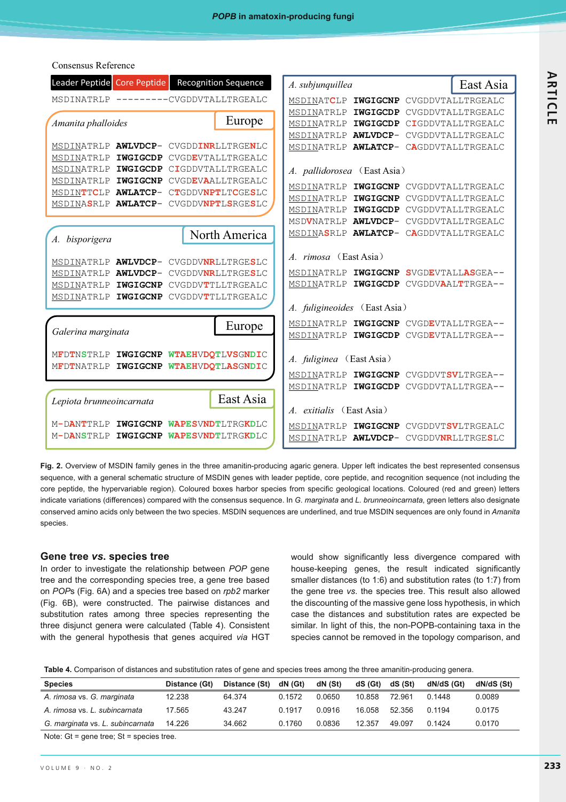| Leader Peptide Core Peptide<br><b>Recognition Sequence</b>                                                                                                             | East Asia<br>A. subjunquillea                                                                           |
|------------------------------------------------------------------------------------------------------------------------------------------------------------------------|---------------------------------------------------------------------------------------------------------|
| ---------CVGDDVTALLTRGEALC<br>MSDINATRLP                                                                                                                               | MSDINATCLP IWGIGCNP CVGDDVTALLTRGEALC                                                                   |
|                                                                                                                                                                        | MSDINATRLP<br>IWGIGCDP CVGDDVTALLTRGEALC                                                                |
| Europe<br>Amanita phalloides                                                                                                                                           | MSDINATRLP<br><b>IWGIGCDP CIGDDVTALLTRGEALC</b>                                                         |
|                                                                                                                                                                        | MSDINATRLP<br>AWLVDCP- CVGDDVTALLTRGEALC                                                                |
| MSDINATRLP AWLVDCP- CVGDDINRLLTRGENLC                                                                                                                                  | MSDINATRLP AWLATCP- CAGDDVTALLTRGEALC                                                                   |
| <b>IWGIGCDP</b> CVGDEVTALLTRGEALC<br>MSDINATRLP                                                                                                                        |                                                                                                         |
| MSDINATRLP IWGIGCDP CIGDDVTALLTRGEALC                                                                                                                                  | A. pallidorosea (East Asia)                                                                             |
| MSDINATRLP<br>IWGIGCNP CVGDEVAALLTRGEALC                                                                                                                               | <b>IWGIGCNP</b> CVGDDVTALLTRGEALC<br>MSDINATRLP                                                         |
| MSDINTTCLP AWLATCP- CTGDDVNPTLTCGESLC                                                                                                                                  | MSDINATRLP IWGIGCNP CVGDDVTALLTRGEALC                                                                   |
| MSDINASRLP AWLATCP- CVGDDVNPTLSRGESLC                                                                                                                                  |                                                                                                         |
|                                                                                                                                                                        | MSDINATRLP<br>IWGIGCDP CVGDDVTALLTRGEALC<br>MSDVNATRLP AWLVDCP- CVGDDVTALLTRGEALC                       |
|                                                                                                                                                                        | MSDINASRLP AWLATCP- CAGDDVTALLTRGEALC                                                                   |
| North America<br>bisporigera<br>A.                                                                                                                                     |                                                                                                         |
| MSDINATRLP AWLVDCP- CVGDDVNRLLTRGESLC<br>CVGDDVNRLLTRGESLC<br>MSDINATRLP AWLVDCP-<br>IWGIGCNP CVGDDVTTLLTRGEALC<br>MSDINATRLP<br>MSDINATRLP IWGIGCNP CVGDDVTTLLTRGEALC | A. rimosa (East Asia)<br>MSDINATRLP IWGIGCNP SVGDEVTALLASGEA--<br>MSDINATRLP IWGIGCDP CVGDDVAALTTRGEA-- |
|                                                                                                                                                                        | A. fuligineoides (East Asia)                                                                            |
| Europe<br>Galerina marginata                                                                                                                                           | MSDINATRLP IWGIGCNP CVGDEVTALLTRGEA--<br>MSDINATRLP IWGIGCDP CVGDEVTALLTRGEA--                          |
| MFDTNSTRLP IWGIGCNP WTAEHVDQTLVSGNDIC<br>MFDTNATRLP IWGIGCNP WTAEHVDQTLASGNDIC                                                                                         | A. fuliginea (East Asia)                                                                                |
|                                                                                                                                                                        | MSDINATRLP IWGIGCNP CVGDDVTSVLTRGEA--                                                                   |
|                                                                                                                                                                        | MSDINATRLP IWGIGCDP CVGDDVTALLTRGEA--                                                                   |
| East Asia<br>Lepiota brunneoincarnata                                                                                                                                  | <i>A. exitialis</i> (East Asia)                                                                         |
| IWGIGCNP WAPESVNDTLTRGKDLC<br>M-DANTTRLP                                                                                                                               | MSDINATRLP IWGIGCNP CVGDDVTSVLTRGEALC                                                                   |
| IWGIGCNP WAPESVNDTLTRGKDLC<br>M-DANSTRLP                                                                                                                               | MSDINATRLP AWLVDCP- CVGDDVNRLLTRGESLC                                                                   |

Fig. 2. Overview of MSDIN family genes in the three amanitin-producing agaric genera. Upper left indicates the best represented consensus sequence, with a general schematic structure of MSDIN genes with leader peptide, core peptide, and recognition sequence (not including the core peptide, the hypervariable region). Coloured boxes harbor species from specific geological locations. Coloured (red and green) letters indicate variations (differences) compared with the consensus sequence. In *G. marginata* and *L. brunneoincarnata*, green letters also designate conserved amino acids only between the two species. MSDIN sequences are underlined, and true MSDIN sequences are only found in *Amanita* species.

#### **Gene tree** *vs***. species tree**

Consensus Reference

In order to investigate the relationship between *POP* gene tree and the corresponding species tree, a gene tree based on POPs (Fig. 6A) and a species tree based on rpb2 marker (Fig. 6B), were constructed. The pairwise distances and substitution rates among three species representing the three disjunct genera were calculated (Table 4). Consistent with the general hypothesis that genes acquired *via* HGT

would show significantly less divergence compared with house-keeping genes, the result indicated significantly smaller distances (to 1:6) and substitution rates (to 1:7) from the gene tree *vs*. the species tree. This result also allowed the discounting of the massive gene loss hypothesis, in which case the distances and substitution rates are expected be similar. In light of this, the non-POPB-containing taxa in the species cannot be removed in the topology comparison, and

Table 4. Comparison of distances and substitution rates of gene and species trees among the three amanitin-producing genera.

| <b>Species</b>                   | Distance (Gt) | Distance (St) | dN (Gt) | dN (St) | dS (Gt) | dS(St) | $dN/dS$ (Gt) | dN/dS (St) |
|----------------------------------|---------------|---------------|---------|---------|---------|--------|--------------|------------|
| A. rimosa vs. G. marginata       | 12.238        | 64.374        | 0.1572  | 0.0650  | 10.858  | 72.961 | 0.1448       | 0.0089     |
| A. rimosa vs. L. subincarnata    | 17.565        | 43.247        | 0.1917  | 0.0916  | 16.058  | 52.356 | 0.1194       | 0.0175     |
| G. marginata vs. L. subincarnata | 14.226        | 34.662        | 0.1760  | 0.0836  | 12.357  | 49.097 | 0.1424       | 0.0170     |
|                                  |               |               |         |         |         |        |              |            |

Note:  $Gt =$  gene tree;  $St =$  species tree.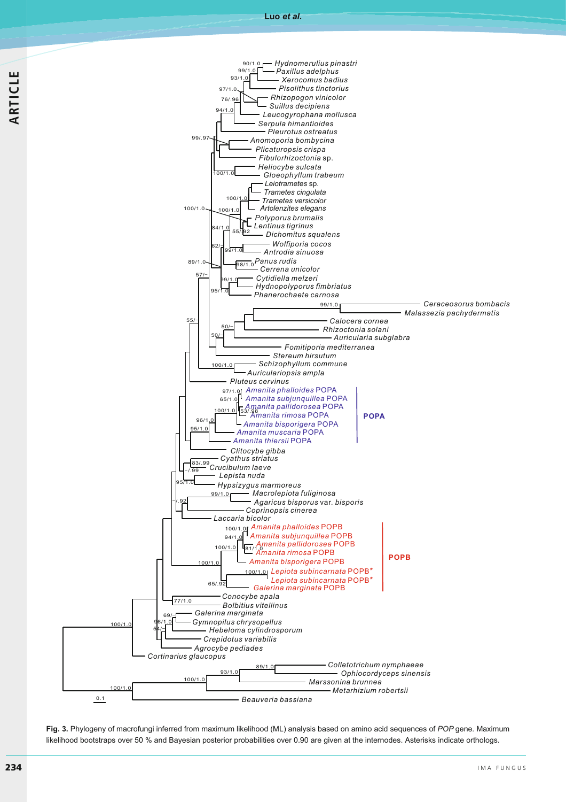

**Fig. 3.** Phylogeny of macrofungi inferred from maximum likelihood (ML) analysis based on amino acid sequences of *POP* gene*.* Maximum likelihood bootstraps over 50 % and Bayesian posterior probabilities over 0.90 are given at the internodes. Asterisks indicate orthologs.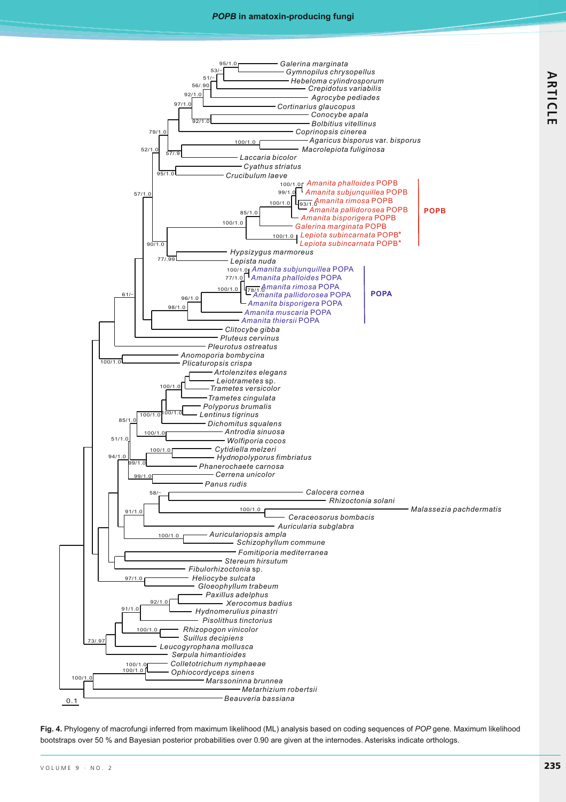*POPB* **in amatoxin-producing fungi**



**Fig. 4.** Phylogeny of macrofungi inferred from maximum likelihood (ML) analysis based on coding sequences of *POP* gene*.* Maximum likelihood bootstraps over 50 % and Bayesian posterior probabilities over 0.90 are given at the internodes. Asterisks indicate orthologs.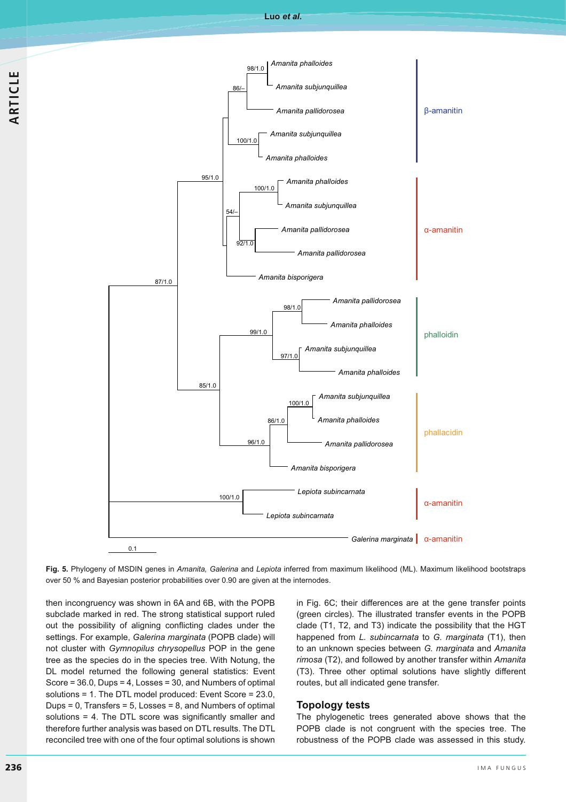#### **Luo** *et al***.**



**Fig. 5.** Phylogeny of MSDIN genes in *Amanita, Galerina* and *Lepiota* inferred from maximum likelihood (ML). Maximum likelihood bootstraps over 50 % and Bayesian posterior probabilities over 0.90 are given at the internodes.

then incongruency was shown in 6A and 6B, with the POPB subclade marked in red. The strong statistical support ruled out the possibility of aligning conflicting clades under the settings. For example, *Galerina marginata* (POPB clade) will not cluster with *Gymnopilus chrysopellus* POP in the gene tree as the species do in the species tree. With Notung, the DL model returned the following general statistics: Event Score =  $36.0$ , Dups =  $4$ , Losses =  $30$ , and Numbers of optimal solutions = 1. The DTL model produced: Event Score = 23.0, Dups = 0, Transfers = 5, Losses = 8, and Numbers of optimal solutions = 4. The DTL score was significantly smaller and therefore further analysis was based on DTL results. The DTL reconciled tree with one of the four optimal solutions is shown

in Fig. 6C; their differences are at the gene transfer points (green circles). The illustrated transfer events in the POPB clade (T1, T2, and T3) indicate the possibility that the HGT happened from *L. subincarnata* to *G. marginata* (T1), then to an unknown species between *G. marginata* and *Amanita rimosa* (T2), and followed by another transfer within *Amanita* (T3). Three other optimal solutions have slightly different routes, but all indicated gene transfer.

#### **Topology tests**

The phylogenetic trees generated above shows that the POPB clade is not congruent with the species tree. The robustness of the POPB clade was assessed in this study.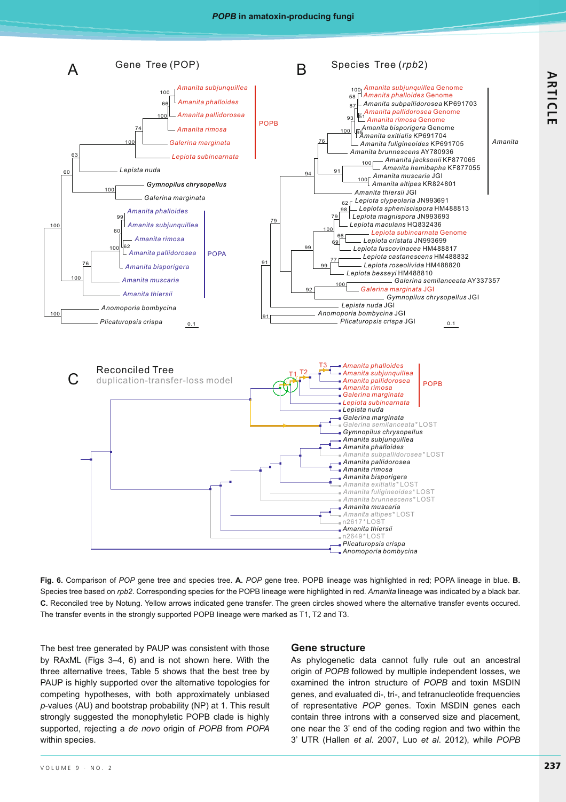

Fig. 6. Comparison of POP gene tree and species tree. A. POP gene tree. POPB lineage was highlighted in red; POPA lineage in blue. B. Species tree based on *rpb2*. Corresponding species for the POPB lineage were highlighted in red. *Amanita* lineage was indicated by a black bar. C. Reconciled tree by Notung. Yellow arrows indicated gene transfer. The green circles showed where the alternative transfer events occured. The transfer events in the strongly supported POPB lineage were marked as T1, T2 and T3.

The best tree generated by PAUP was consistent with those by RAxML (Figs 3–4, 6) and is not shown here. With the three alternative trees, Table 5 shows that the best tree by PAUP is highly supported over the alternative topologies for competing hypotheses, with both approximately unbiased p-values (AU) and bootstrap probability (NP) at 1. This result strongly suggested the monophyletic POPB clade is highly supported, rejecting a de novo origin of POPB from POPA within species.

#### **Gene structure**

As phylogenetic data cannot fully rule out an ancestral origin of *POPB* followed by multiple independent losses, we examined the intron structure of *POPB* and toxin MSDIN genes, and evaluated di-, tri-, and tetranucleotide frequencies of representative *POP* genes. Toxin MSDIN genes each contain three introns with a conserved size and placement, one near the 3' end of the coding region and two within the 3' UTR (Hallen *et al.* 2007, Luo *et al.* 2012), while *POPB*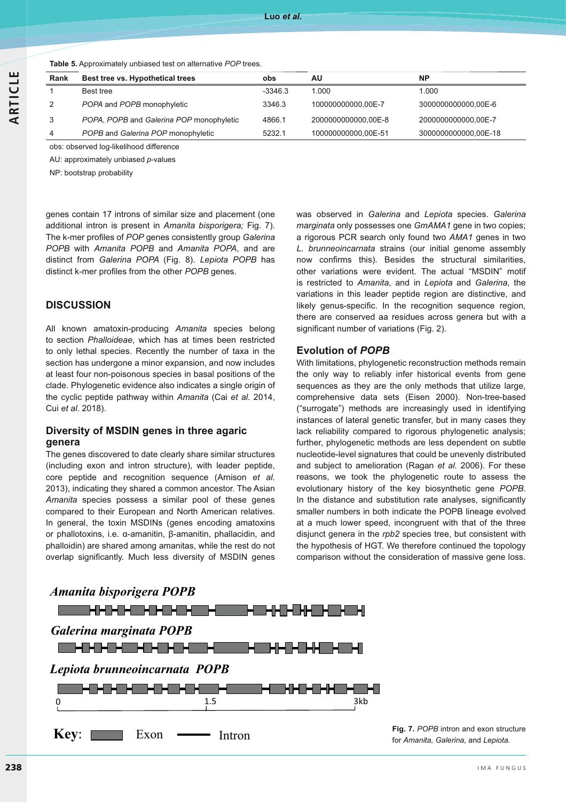| <b>Table 5.</b> Approximately unbiased test on alternative POP trees. |  |  |  |
|-----------------------------------------------------------------------|--|--|--|
|-----------------------------------------------------------------------|--|--|--|

| Rank | Best tree vs. Hypothetical trees         | obs       | ΑU                  | <b>NP</b>            |
|------|------------------------------------------|-----------|---------------------|----------------------|
|      | Best tree                                | $-3346.3$ | 1.000               | .000                 |
|      | POPA and POPB monophyletic               | 3346.3    | 100000000000,00E-7  | 3000000000000,00E-6  |
|      | POPA, POPB and Galerina POP monophyletic | 4866.1    | 2000000000000.00E-8 | 2000000000000.00E-7  |
| 4    | POPB and Galerina POP monophyletic       | 5232.1    | 100000000000,00E-51 | 3000000000000,00E-18 |

obs: observed log-likelihood difference

AU: approximately unbiased *p*-values

NP: bootstrap probability

genes contain 17 introns of similar size and placement (one additional intron is present in *Amanita bisporigera;* Fig. 7). The k-mer profiles of POP genes consistently group Galerina *POPB* with *Amanita POPB* and *Amanita POPA*, and are distinct from *Galerina POPA* (Fig. 8). Lepiota POPB has distinct k-mer profiles from the other POPB genes.

#### **DISCUSSION**

All known amatoxin-producing Amanita species belong to section *Phalloideae*, which has at times been restricted to only lethal species. Recently the number of taxa in the section has undergone a minor expansion, and now includes at least four non-poisonous species in basal positions of the clade. Phylogenetic evidence also indicates a single origin of the cyclic peptide pathway within *Amanita* (Cai *et al.* 2014, Cui et al. 2018).

#### **Diversity of MSDIN genes in three agaric genera**

The genes discovered to date clearly share similar structures (including exon and intron structure), with leader peptide, core peptide and recognition sequence (Arnison *et al.* 2013), indicating they shared a common ancestor. The Asian *Amanita* species possess a similar pool of these genes compared to their European and North American relatives. In general, the toxin MSDINs (genes encoding amatoxins or phallotoxins, i.e. α-amanitin, β-amanitin, phallacidin, and phalloidin) are shared among amanitas, while the rest do not overlap significantly. Much less diversity of MSDIN genes was observed in *Galerina* and *Lepiota* species. *Galerina*  marginata only possesses one GmAMA1 gene in two copies; a rigorous PCR search only found two AMA1 genes in two *L. brunneoincarnata* strains (our initial genome assembly now confirms this). Besides the structural similarities, other variations were evident. The actual "MSDIN" motif is restricted to *Amanita*, and in *Lepiota* and *Galerina*, the variations in this leader peptide region are distinctive, and likely genus-specific. In the recognition sequence region, there are conserved aa residues across genera but with a significant number of variations (Fig. 2).

#### **Evolution of** *POPB*

With limitations, phylogenetic reconstruction methods remain the only way to reliably infer historical events from gene sequences as they are the only methods that utilize large, comprehensive data sets (Eisen 2000). Non-tree-based ("surrogate") methods are increasingly used in identifying instances of lateral genetic transfer, but in many cases they lack reliability compared to rigorous phylogenetic analysis; further, phylogenetic methods are less dependent on subtle nucleotide-level signatures that could be unevenly distributed and subject to amelioration (Ragan et al. 2006). For these reasons, we took the phylogenetic route to assess the evolutionary history of the key biosynthetic gene *POPB*. In the distance and substitution rate analyses, significantly smaller numbers in both indicate the POPB lineage evolved at a much lower speed, incongruent with that of the three disjunct genera in the rpb2 species tree, but consistent with the hypothesis of HGT. We therefore continued the topology comparison without the consideration of massive gene loss.



**Fig. 7.** *POPB* intron and exon structure for *Amanita, Galerina,* and *Lepiota.*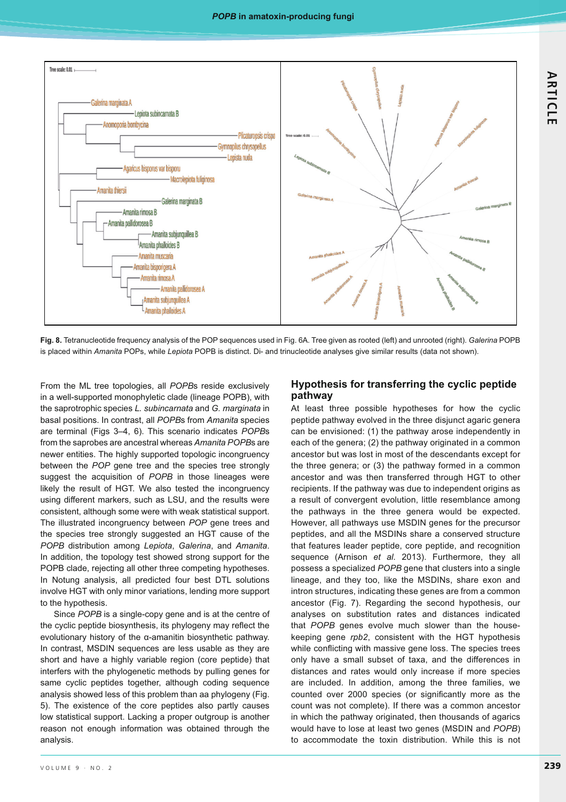



Fig. 8. Tetranucleotide frequency analysis of the POP sequences used in Fig. 6A. Tree given as rooted (left) and unrooted (right). Galerina POPB is placed within *Amanita* POPs, while *Lepiota* POPB is distinct. Di- and trinucleotide analyses give similar results (data not shown).

From the ML tree topologies, all *POPB*s reside exclusively in a well-supported monophyletic clade (lineage POPB), with the saprotrophic species *L. subincarnata* and *G. marginata* in basal positions. In contrast, all *POPB*s from *Amanita* species are terminal (Figs 3-4, 6). This scenario indicates POPBs from the saprobes are ancestral whereas *Amanita POPB*s are newer entities. The highly supported topologic incongruency between the *POP* gene tree and the species tree strongly suggest the acquisition of *POPB* in those lineages were likely the result of HGT. We also tested the incongruency using different markers, such as LSU, and the results were consistent, although some were with weak statistical support. The illustrated incongruency between *POP* gene trees and the species tree strongly suggested an HGT cause of the *POPB* distribution among *Lepiota*, *Galerina*, and *Amanita*. In addition, the topology test showed strong support for the POPB clade, rejecting all other three competing hypotheses. In Notung analysis, all predicted four best DTL solutions involve HGT with only minor variations, lending more support to the hypothesis.

Since POPB is a single-copy gene and is at the centre of the cyclic peptide biosynthesis, its phylogeny may reflect the  $evolutionary$  history of the  $\alpha$ -amanitin biosynthetic pathway. In contrast, MSDIN sequences are less usable as they are short and have a highly variable region (core peptide) that interfers with the phylogenetic methods by pulling genes for same cyclic peptides together, although coding sequence analysis showed less of this problem than aa phylogeny (Fig. 5). The existence of the core peptides also partly causes low statistical support. Lacking a proper outgroup is another reason not enough information was obtained through the analysis.

#### **Hypothesis for transferring the cyclic peptide pathway**

At least three possible hypotheses for how the cyclic peptide pathway evolved in the three disjunct agaric genera can be envisioned: (1) the pathway arose independently in each of the genera; (2) the pathway originated in a common ancestor but was lost in most of the descendants except for the three genera; or (3) the pathway formed in a common ancestor and was then transferred through HGT to other recipients. If the pathway was due to independent origins as a result of convergent evolution, little resemblance among the pathways in the three genera would be expected. However, all pathways use MSDIN genes for the precursor peptides, and all the MSDINs share a conserved structure that features leader peptide, core peptide, and recognition sequence (Arnison *et al.* 2013). Furthermore, they all possess a specialized *POPB* gene that clusters into a single lineage, and they too, like the MSDINs, share exon and intron structures, indicating these genes are from a common ancestor (Fig. 7). Regarding the second hypothesis, our analyses on substitution rates and distances indicated that POPB genes evolve much slower than the housekeeping gene *rpb2*, consistent with the HGT hypothesis while conflicting with massive gene loss. The species trees only have a small subset of taxa, and the differences in distances and rates would only increase if more species are included. In addition, among the three families, we counted over 2000 species (or significantly more as the count was not complete). If there was a common ancestor in which the pathway originated, then thousands of agarics would have to lose at least two genes (MSDIN and *POPB*) to accommodate the toxin distribution. While this is not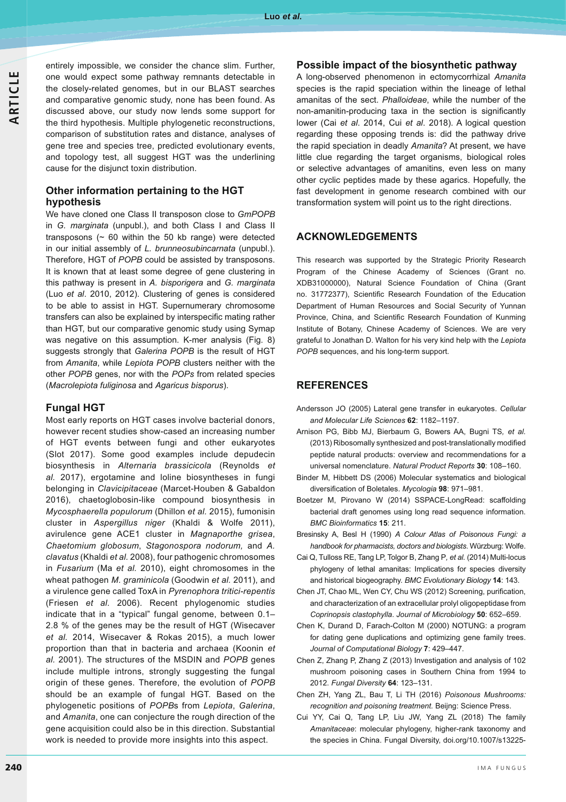entirely impossible, we consider the chance slim. Further, one would expect some pathway remnants detectable in the closely-related genomes, but in our BLAST searches and comparative genomic study, none has been found. As discussed above, our study now lends some support for the third hypothesis. Multiple phylogenetic reconstructions, comparison of substitution rates and distance, analyses of gene tree and species tree, predicted evolutionary events, and topology test, all suggest HGT was the underlining cause for the disjunct toxin distribution.

#### **Other information pertaining to the HGT hypothesis**

We have cloned one Class II transposon close to *GmPOPB* in *G. marginata* (unpubl.), and both Class I and Class II transposons ( $\sim$  60 within the 50 kb range) were detected in our initial assembly of *L. brunneosubincarnata* (unpubl.). Therefore, HGT of *POPB* could be assisted by transposons. It is known that at least some degree of gene clustering in this pathway is present in *A. bisporigera* and *G. marginata* (Luo *et al*. 2010, 2012). Clustering of genes is considered to be able to assist in HGT. Supernumerary chromosome transfers can also be explained by interspecific mating rather than HGT, but our comparative genomic study using Symap was negative on this assumption. K-mer analysis (Fig. 8) suggests strongly that *Galerina POPB* is the result of HGT from *Amanita*, while *Lepiota POPB* clusters neither with the other *POPB* genes, nor with the *POPs* from related species (*Macrolepiota fuliginosa* and *Agaricus bisporus*).

#### **Fungal HGT**

Most early reports on HGT cases involve bacterial donors, however recent studies show-cased an increasing number of HGT events between fungi and other eukaryotes (Slot 2017). Some good examples include depudecin biosynthesis in Alternaria brassicicola (Reynolds et *al.* 2017), ergotamine and loline biosyntheses in fungi belonging in Clavicipitaceae (Marcet-Houben & Gabaldon 2016), chaetoglobosin-like compound biosynthesis in *Mycosphaerella populorum* (Dhillon *et al.* 2015), fumonisin cluster in *Aspergillus niger* (Khaldi & Wolfe 2011), avirulence gene ACE1 cluster in *Magnaporthe grisea*, *Chaetomium globosum*, *Stagonospora nodorum,* and *A.*  clavatus (Khaldi et al. 2008), four pathogenic chromosomes in *Fusarium* (Ma *et al.* 2010), eight chromosomes in the wheat pathogen *M. graminicola* (Goodwin *et al.* 2011), and a virulence gene called ToxA in *Pyrenophora tritici-repentis* (Friesen et al. 2006). Recent phylogenomic studies indicate that in a "typical" fungal genome, between 0.1– 2.8 % of the genes may be the result of HGT (Wisecaver et al. 2014, Wisecaver & Rokas 2015), a much lower proportion than that in bacteria and archaea (Koonin *et al.* 2001). The structures of the MSDIN and *POPB* genes include multiple introns, strongly suggesting the fungal origin of these genes. Therefore, the evolution of *POPB* should be an example of fungal HGT. Based on the phylogenetic positions of *POPB*s from *Lepiota*, *Galerina*, and Amanita, one can conjecture the rough direction of the gene acquisition could also be in this direction. Substantial work is needed to provide more insights into this aspect.

#### **Possible impact of the biosynthetic pathway**

A long-observed phenomenon in ectomycorrhizal Amanita species is the rapid speciation within the lineage of lethal amanitas of the sect. *Phalloideae*, while the number of the non-amanitin-producing taxa in the section is significantly lower (Cai et al. 2014, Cui et al. 2018). A logical question regarding these opposing trends is: did the pathway drive the rapid speciation in deadly Amanita? At present, we have little clue regarding the target organisms, biological roles or selective advantages of amanitins, even less on many other cyclic peptides made by these agarics. Hopefully, the fast development in genome research combined with our transformation system will point us to the right directions.

#### **ACKNOWLEDGEMENTS**

This research was supported by the Strategic Priority Research Program of the Chinese Academy of Sciences (Grant no. XDB31000000), Natural Science Foundation of China (Grant no. 31772377), Scientific Research Foundation of the Education Department of Human Resources and Social Security of Yunnan Province, China, and Scientific Research Foundation of Kunming Institute of Botany, Chinese Academy of Sciences. We are very grateful to Jonathan D. Walton for his very kind help with the Lepiota POPB sequences, and his long-term support.

#### **REFERENCES**

- Andersson JO (2005) Lateral gene transfer in eukaryotes. Cellular and Molecular Life Sciences 62: 1182-1197.
- Arnison PG, Bibb MJ, Bierbaum G, Bowers AA, Bugni TS, et al. (2013) Ribosomally synthesized and post-translationally modified peptide natural products: overview and recommendations for a universal nomenclature. Natural Product Reports 30: 108-160.
- Binder M, Hibbett DS (2006) Molecular systematics and biological diversification of Boletales. Mycologia 98: 971-981.
- Boetzer M, Pirovano W (2014) SSPACE-LongRead: scaffolding bacterial draft genomes using long read sequence information. **BMC Bioinformatics 15: 211.**
- Bresinsky A, Besl H (1990) A Colour Atlas of Poisonous Fungi: a handbook for pharmacists, doctors and biologists. Würzburg: Wolfe.
- Cai Q, Tulloss RE, Tang LP, Tolgor B, Zhang P, et al. (2014) Multi-locus phylogeny of lethal amanitas: Implications for species diversity and historical biogeography. BMC Evolutionary Biology 14: 143.
- Chen JT, Chao ML, Wen CY, Chu WS (2012) Screening, purification, and characterization of an extracellular prolyl oligopeptidase from Coprinopsis clastophylla. Journal of Microbiology 50: 652-659.
- Chen K, Durand D, Farach-Colton M (2000) NOTUNG: a program for dating gene duplications and optimizing gene family trees. Journal of Computational Biology 7: 429-447.
- Chen Z, Zhang P, Zhang Z (2013) Investigation and analysis of 102 mushroom poisoning cases in Southern China from 1994 to 2012. *Fungal Diversity* 64: 123–131.
- Chen ZH, Yang ZL, Bau T, Li TH (2016) Poisonous Mushrooms: recognition and poisoning treatment. Beijng: Science Press.
- Cui YY, Cai Q, Tang LP, Liu JW, Yang ZL (2018) The family Amanitaceae: molecular phylogeny, higher-rank taxonomy and the species in China. Fungal Diversity, doi.org/10.1007/s13225-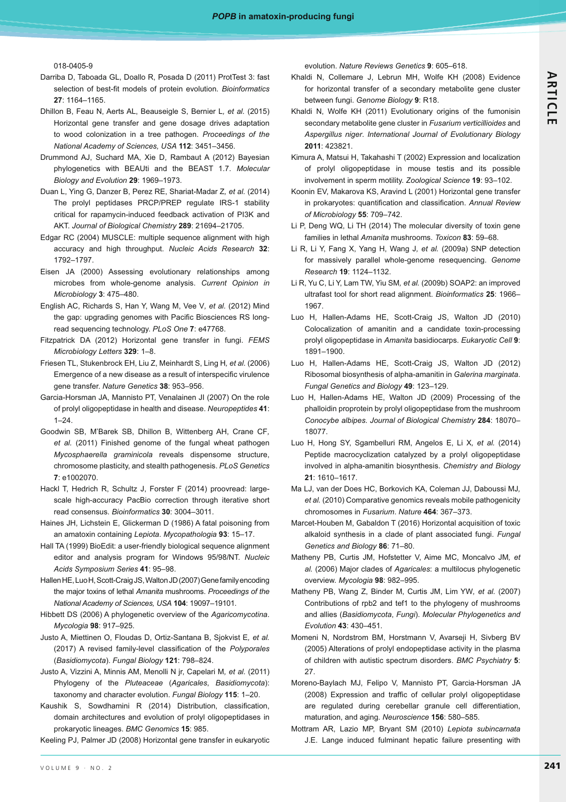018-0405-9

- Darriba D, Taboada GL, Doallo R, Posada D (2011) ProtTest 3: fast selection of best-fit models of protein evolution. Bioinformatics **27**: 1164–1165.
- Dhillon B, Feau N, Aerts AL, Beauseigle S, Bernier L*, et al.* (2015) Horizontal gene transfer and gene dosage drives adaptation to wood colonization in a tree pathogen. *Proceedings of the*  National Academy of Sciences, USA 112: 3451-3456.
- Drummond AJ, Suchard MA, Xie D, Rambaut A (2012) Bayesian phylogenetics with BEAUti and the BEAST 1.7. *Molecular*  Biology and Evolution **29**: 1969-1973.
- Duan L, Ying G, Danzer B, Perez RE, Shariat-Madar Z, et al. (2014) The prolyl peptidases PRCP/PREP regulate IRS-1 stability critical for rapamycin-induced feedback activation of PI3K and AKT. Journal of Biological Chemistry 289: 21694–21705.
- Edgar RC (2004) MUSCLE: multiple sequence alignment with high accuracy and high throughput. *Nucleic Acids Research* **32**[- 1792-1797.
- Eisen JA (2000) Assessing evolutionary relationships among microbes from whole-genome analysis. Current Opinion in *Microbiology* 3: 475-480.
- English AC, Richards S, Han Y, Wang M, Vee V, et al. (2012) Mind the gap: upgrading genomes with Pacific Biosciences RS longread sequencing technology. PLoS One 7: e47768.
- Fitzpatrick DA (2012) Horizontal gene transfer in fungi. *FEMS Microbiology Letters* 329: 1-8.
- Friesen TL, Stukenbrock EH, Liu Z, Meinhardt S, Ling H*, et al.* (2006) Emergence of a new disease as a result of interspecific virulence gene transfer. Nature Genetics 38: 953-956.
- Garcia-Horsman JA, Mannisto PT, Venalainen JI (2007) On the role of prolyl oligopeptidase in health and disease. *Neuropeptides* **41**[-  $1 - 24$
- Goodwin SB, M'Barek SB, Dhillon B, Wittenberg AH, Crane CF, *et al.* (2011) Finished genome of the fungal wheat pathogen *Mycosphaerella graminicola* reveals dispensome structure, chromosome plasticity, and stealth pathogenesis. *PLoS Genetics* **7**: e1002070.
- Hackl T, Hedrich R, Schultz J, Forster F (2014) proovread: largescale high-accuracy PacBio correction through iterative short read consensus. *Bioinformatics* 30: 3004-3011.
- Haines JH, Lichstein E, Glickerman D (1986) A fatal poisoning from an amatoxin containing Lepiota. Mycopathologia 93: 15–17.
- Hall TA (1999) BioEdit: a user-friendly biological sequence alignment editor and analysis program for Windows 95/98/NT. Nucleic Acids Symposium Series **41**: 95–98.
- Hallen HE, Luo H, Scott-Craig JS, Walton JD (2007) Gene family encoding the major toxins of lethal Amanita mushrooms. Proceedings of the National Academy of Sciences, USA 104: 19097-19101.
- Hibbett DS (2006) A phylogenetic overview of the Agaricomycotina. *Mycologia* **98**: 917–925.
- Justo A, Miettinen O, Floudas D, Ortiz-Santana B, Sjokvist E*, et al.* (2017) A revised family-level classification of the Polyporales (Basidiomycota). Fungal Biology **121**: 798–824.
- Justo A, Vizzini A, Minnis AM, Menolli N jr, Capelari M, et al. (2011) Phylogeny of the *Pluteaceae (Agaricales, Basidiomycota)*: taxonomy and character evolution. Fungal Biology 115: 1–20.
- Kaushik S, Sowdhamini R (2014) Distribution, classification, domain architectures and evolution of prolyl oligopeptidases in prokaryotic lineages. BMC Genomics 15: 985.

Keeling PJ, Palmer JD (2008) Horizontal gene transfer in eukaryotic

evolution. *Nature Reviews Genetics* **9**: 605–618.

- Khaldi N, Collemare J, Lebrun MH, Wolfe KH (2008) Evidence for horizontal transfer of a secondary metabolite gene cluster between fungi. *Genome Biology* **9**: R18.
- Khaldi N, Wolfe KH (2011) Evolutionary origins of the fumonisin secondary metabolite gene cluster in *Fusarium verticillioides* and *Aspergillus niger*. *International Journal of Evolutionary Biology* **2011**: 423821.
- Kimura A, Matsui H, Takahashi T (2002) Expression and localization of prolyl oligopeptidase in mouse testis and its possible involvement in sperm motility. Zoological Science **19**: 93–102.
- Koonin EV, Makarova KS, Aravind L (2001) Horizontal gene transfer in prokaryotes: quantification and classification. Annual Review of Microbiology **55**: 709–742.
- Li P, Deng WQ, Li TH (2014) The molecular diversity of toxin gene families in lethal Amanita mushrooms. *Toxicon* 83: 59–68.
- Li R, Li Y, Fang X, Yang H, Wang J*, et al.* (2009a) SNP detection for massively parallel whole-genome resequencing. Genome **Research <b>19**: 1124–1132.
- Li R, Yu C, Li Y, Lam TW, Yiu SM*, et al.* (2009b) SOAP2: an improved ultrafast tool for short read alignment. Bioinformatics 25: 1966-1967
- Luo H, Hallen-Adams HE, Scott-Craig JS, Walton JD (2010) Colocalization of amanitin and a candidate toxin-processing prolyl oligopeptidase in *Amanita* basidiocarps. *Eukaryotic Cell* **9**[- 1891-1900
- Luo H, Hallen-Adams HE, Scott-Craig JS, Walton JD (2012) Ribosomal biosynthesis of alpha-amanitin in Galerina marginata. **Fungal Genetics and Biology 49: 123–129.**
- Luo H, Hallen-Adams HE, Walton JD (2009) Processing of the phalloidin proprotein by prolyl oligopeptidase from the mushroom Conocybe albipes. Journal of Biological Chemistry 284: 18070-18077
- Luo H, Hong SY, Sgambelluri RM, Angelos E, Li X, et al. (2014) Peptide macrocyclization catalyzed by a prolyl oligopeptidase involved in alpha-amanitin biosynthesis. Chemistry and Biology **21**: 1610–1617.
- Ma LJ, van der Does HC, Borkovich KA, Coleman JJ, Daboussi MJ, *et al.* (2010) Comparative genomics reveals mobile pathogenicity chromosomes in Fusarium. Nature 464: 367–373.
- Marcet-Houben M, Gabaldon T (2016) Horizontal acquisition of toxic alkaloid synthesis in a clade of plant associated fungi. *Fungal*  Genetics and Biology 86: 71-80.
- Matheny PB, Curtis JM, Hofstetter V, Aime MC, Moncalvo JM, et al. (2006) Major clades of Agaricales: a multilocus phylogenetic overview. *Mycologia* 98: 982–995.
- Matheny PB, Wang Z, Binder M, Curtis JM, Lim YW, et al. (2007) Contributions of rpb2 and tef1 to the phylogeny of mushrooms and allies (*Basidiomycota*, *Fungi*). *Molecular Phylogenetics and*  Evolution **43**: 430-451.
- Momeni N, Nordstrom BM, Horstmann V, Avarseji H, Sivberg BV (2005) Alterations of prolyl endopeptidase activity in the plasma of children with autistic spectrum disorders. *BMC Psychiatry* **5**[- 27.
- Moreno-Baylach MJ, Felipo V, Mannisto PT, Garcia-Horsman JA (2008) Expression and traffic of cellular prolyl oligopeptidase are regulated during cerebellar granule cell differentiation, maturation, and aging. Neuroscience **156**: 580-585.
- Mottram AR, Lazio MP, Bryant SM (2010) Lepiota subincarnata J.E. Lange induced fulminant hepatic failure presenting with